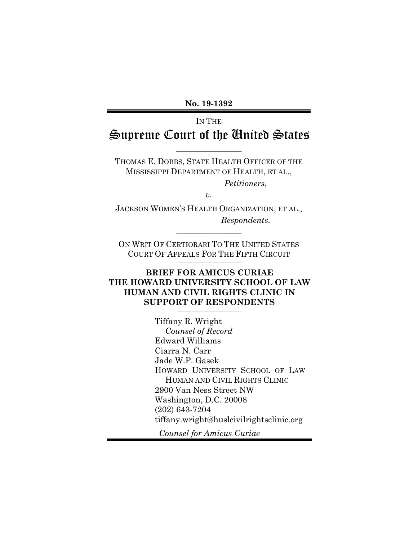**No. 19-1392**

# IN THE Supreme Court of the United States

THOMAS E. DOBBS, STATE HEALTH OFFICER OF THE MISSISSIPPI DEPARTMENT OF HEALTH, ET AL.,

 $\overline{\phantom{a}}$  , where  $\overline{\phantom{a}}$ 

*Petitioners*,

*v.*

JACKSON WOMEN'S HEALTH ORGANIZATION, ET AL., *Respondents.* 

ON WRIT OF CERTIORARI TO THE UNITED STATES COURT OF APPEALS FOR THE FIFTH CIRCUIT  $\overline{\phantom{a}}$  , and the set of the set of the set of the set of the set of the set of the set of the set of the set of the set of the set of the set of the set of the set of the set of the set of the set of the set of the s

 $\overline{\phantom{a}}$  , where  $\overline{\phantom{a}}$ 

## **BRIEF FOR AMICUS CURIAE THE HOWARD UNIVERSITY SCHOOL OF LAW HUMAN AND CIVIL RIGHTS CLINIC IN SUPPORT OF RESPONDENTS**

 $\overline{\phantom{a}}$  , and the set of the set of the set of the set of the set of the set of the set of the set of the set of the set of the set of the set of the set of the set of the set of the set of the set of the set of the s

Tiffany R. Wright *Counsel of Record* Edward Williams Ciarra N. Carr Jade W.P. Gasek HOWARD UNIVERSITY SCHOOL OF LAW HUMAN AND CIVIL RIGHTS CLINIC 2900 Van Ness Street NW Washington, D.C. 20008 (202) 643-7204 tiffany.wright@huslcivilrightsclinic.org

*Counsel for Amicus Curiae*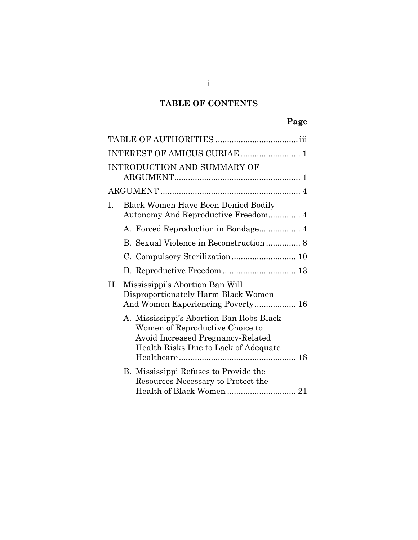# **TABLE OF CONTENTS**

|    | INTEREST OF AMICUS CURIAE  1                                                                                                                             |  |
|----|----------------------------------------------------------------------------------------------------------------------------------------------------------|--|
|    | <b>INTRODUCTION AND SUMMARY OF</b>                                                                                                                       |  |
|    |                                                                                                                                                          |  |
| Ι. | Black Women Have Been Denied Bodily                                                                                                                      |  |
|    |                                                                                                                                                          |  |
|    |                                                                                                                                                          |  |
|    |                                                                                                                                                          |  |
|    | D. Reproductive Freedom  13                                                                                                                              |  |
| Н. | Mississippi's Abortion Ban Will<br>Disproportionately Harm Black Women<br>And Women Experiencing Poverty 16                                              |  |
|    | A. Mississippi's Abortion Ban Robs Black<br>Women of Reproductive Choice to<br>Avoid Increased Pregnancy-Related<br>Health Risks Due to Lack of Adequate |  |
|    | B. Mississippi Refuses to Provide the<br>Resources Necessary to Protect the                                                                              |  |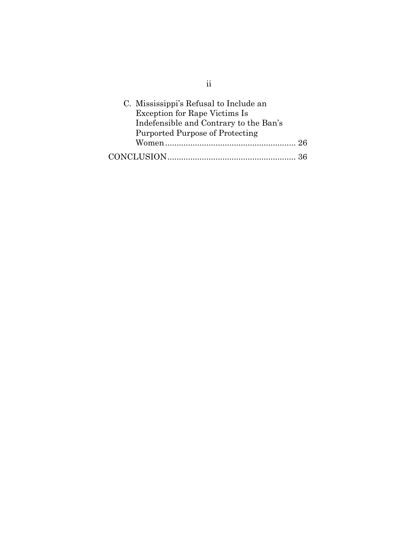| C. Mississippi's Refusal to Include an |  |
|----------------------------------------|--|
| <b>Exception for Rape Victims Is</b>   |  |
| Indefensible and Contrary to the Ban's |  |
| Purported Purpose of Protecting        |  |
|                                        |  |
|                                        |  |

ii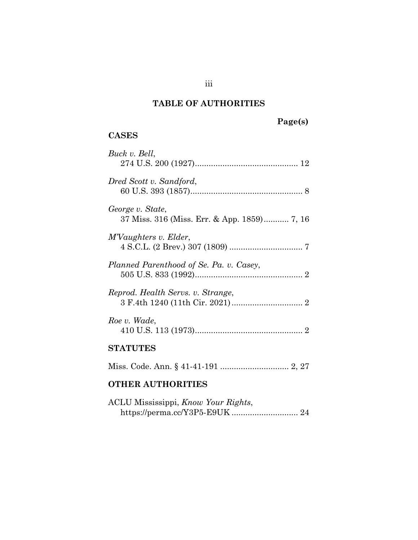## **TABLE OF AUTHORITIES**

# **Page(s)**

## <span id="page-3-0"></span>**CASES**

| Buck v. Bell,                                                   |
|-----------------------------------------------------------------|
| Dred Scott v. Sandford,                                         |
| George v. State,<br>37 Miss. 316 (Miss. Err. & App. 1859) 7, 16 |
| M'Vaughters v. Elder,                                           |
| Planned Parenthood of Se. Pa. v. Casey,                         |
| Reprod. Health Servs. v. Strange,                               |
| Roe v. Wade,                                                    |
| <b>STATUTES</b>                                                 |
|                                                                 |

## **OTHER AUTHORITIES**

| ACLU Mississippi, Know Your Rights, |  |  |
|-------------------------------------|--|--|
|                                     |  |  |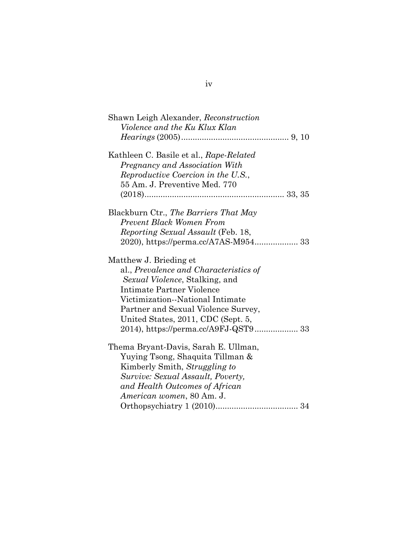| Shawn Leigh Alexander, Reconstruction     |  |
|-------------------------------------------|--|
| Violence and the Ku Klux Klan             |  |
|                                           |  |
| Kathleen C. Basile et al., Rape-Related   |  |
| Pregnancy and Association With            |  |
| Reproductive Coercion in the U.S.,        |  |
| 55 Am. J. Preventive Med. 770             |  |
|                                           |  |
| Blackburn Ctr., The Barriers That May     |  |
| <b>Prevent Black Women From</b>           |  |
| <i>Reporting Sexual Assault</i> (Feb. 18, |  |
| 2020), https://perma.cc/A7AS-M954 33      |  |
| Matthew J. Brieding et                    |  |
| al., Prevalence and Characteristics of    |  |
| Sexual Violence, Stalking, and            |  |
| Intimate Partner Violence                 |  |
| Victimization--National Intimate          |  |
| Partner and Sexual Violence Survey,       |  |
| United States, 2011, CDC (Sept. 5,        |  |
|                                           |  |
| Thema Bryant-Davis, Sarah E. Ullman,      |  |
| Yuying Tsong, Shaquita Tillman &          |  |
| Kimberly Smith, Struggling to             |  |
| Survive: Sexual Assault, Poverty,         |  |
| and Health Outcomes of African            |  |
| American women, 80 Am. J.                 |  |
|                                           |  |

| ۰. |  |
|----|--|
|    |  |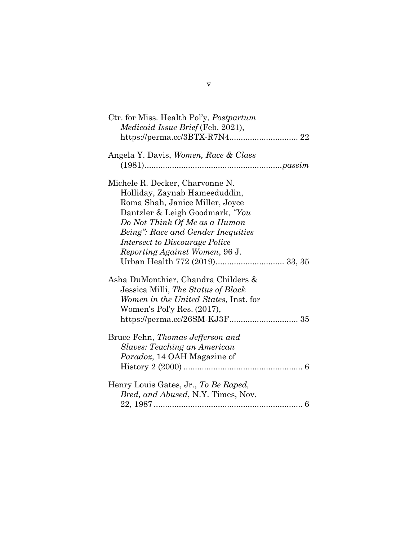| Ctr. for Miss. Health Pol'y, <i>Postpartum</i> |
|------------------------------------------------|
| <i>Medicaid Issue Brief</i> (Feb. 2021),       |
|                                                |
| Angela Y. Davis, Women, Race & Class           |
|                                                |
| Michele R. Decker, Charvonne N.                |
| Holliday, Zaynab Hameeduddin,                  |
| Roma Shah, Janice Miller, Joyce                |
| Dantzler & Leigh Goodmark, "You                |
| Do Not Think Of Me as a Human                  |
| Being": Race and Gender Inequities             |
| <i>Intersect to Discourage Police</i>          |
| Reporting Against Women, 96 J.                 |
|                                                |
| Asha DuMonthier, Chandra Childers &            |
| Jessica Milli, The Status of Black             |
| Women in the United States, Inst. for          |
| Women's Pol'y Res. (2017),                     |
|                                                |
| Bruce Fehn, Thomas Jefferson and               |
| <b>Slaves: Teaching an American</b>            |
| <i>Paradox</i> , 14 OAH Magazine of            |
|                                                |
| Henry Louis Gates, Jr., To Be Raped,           |
| Bred, and Abused, N.Y. Times, Nov.             |
|                                                |

## v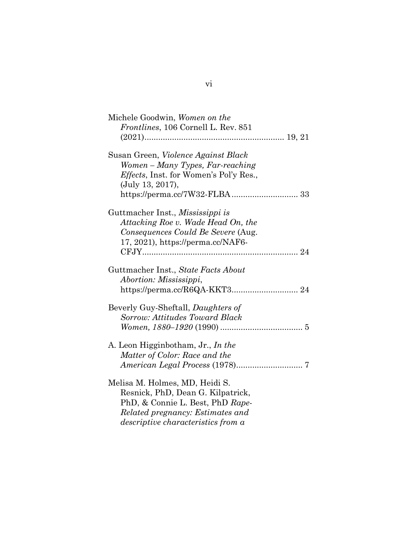| Michele Goodwin, Women on the                  |
|------------------------------------------------|
| <i>Frontlines</i> , 106 Cornell L. Rev. 851    |
|                                                |
|                                                |
| Susan Green, Violence Against Black            |
|                                                |
| Women – Many Types, Far-reaching               |
| <i>Effects</i> , Inst. for Women's Pol'y Res., |
| (July 13, 2017),                               |
| https://perma.cc/7W32-FLBA 33                  |
|                                                |
| Guttmacher Inst., Mississippi is               |
| Attacking Roe v. Wade Head On, the             |
| Consequences Could Be Severe (Aug.             |
|                                                |
| 17, 2021), https://perma.cc/NAF6-              |
|                                                |
|                                                |
| Guttmacher Inst., State Facts About            |
| Abortion: Mississippi,                         |
|                                                |
|                                                |
| Beverly Guy-Sheftall, <i>Daughters of</i>      |
| Sorrow: Attitudes Toward Black                 |
|                                                |
|                                                |
| A. Leon Higginbotham, Jr., In the              |
| Matter of Color: Race and the                  |
|                                                |
|                                                |
| Melisa M. Holmes, MD, Heidi S.                 |
|                                                |
| Resnick, PhD, Dean G. Kilpatrick,              |
| PhD, & Connie L. Best, PhD Rape-               |
| Related pregnancy: Estimates and               |
| <i>descriptive characteristics from a</i>      |

vi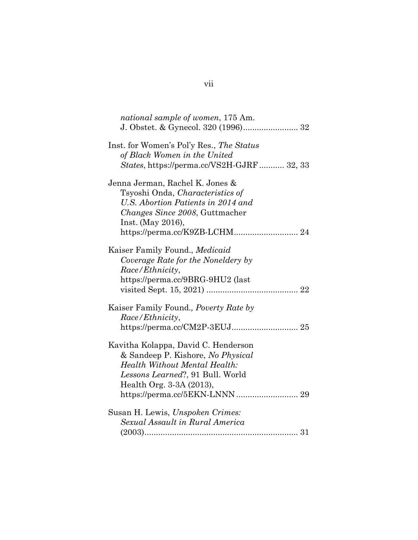| national sample of women, 175 Am.                         |
|-----------------------------------------------------------|
|                                                           |
| Inst. for Women's Pol'y Res., The Status                  |
| of Black Women in the United                              |
| States, https://perma.cc/VS2H-GJRF 32, 33                 |
| Jenna Jerman, Rachel K. Jones &                           |
| Tsyoshi Onda, Characteristics of                          |
| U.S. Abortion Patients in 2014 and                        |
| <i>Changes Since 2008</i> , Guttmacher                    |
| Inst. (May 2016),                                         |
| $\label{th:optimal} \hbox{https://permacc/K9ZB-LCHM}.$ 24 |
| Kaiser Family Found., Medicaid                            |
| Coverage Rate for the Noneldery by                        |
| Race/Ethnicity,                                           |
| https://perma.cc/9BRG-9HU2 (last                          |
|                                                           |
| Kaiser Family Found., <i>Poverty Rate by</i>              |
| Race/Ethnicity,                                           |
|                                                           |
| Kavitha Kolappa, David C. Henderson                       |
| & Sandeep P. Kishore, No Physical                         |
| <b>Health Without Mental Health:</b>                      |
| Lessons Learned?, 91 Bull. World                          |
| Health Org. 3-3A (2013),                                  |
|                                                           |
| Susan H. Lewis, Unspoken Crimes:                          |
| Sexual Assault in Rural America                           |
|                                                           |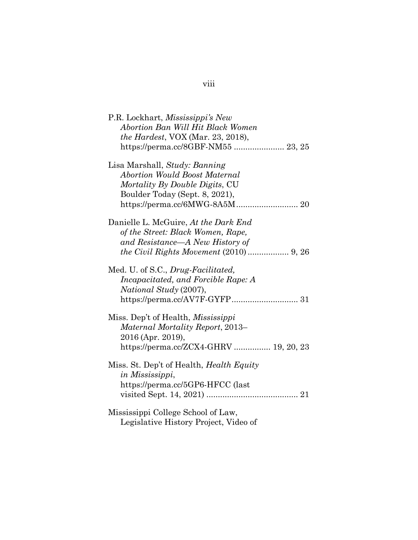| P.R. Lockhart, Mississippi's New<br>Abortion Ban Will Hit Black Women<br><i>the Hardest</i> , VOX (Mar. 23, 2018),                           |
|----------------------------------------------------------------------------------------------------------------------------------------------|
| Lisa Marshall, Study: Banning<br><b>Abortion Would Boost Maternal</b><br>Mortality By Double Digits, CU<br>Boulder Today (Sept. 8, 2021),    |
| Danielle L. McGuire, At the Dark End<br>of the Street: Black Women, Rape,<br>and Resistance—A New History of                                 |
| Med. U. of S.C., Drug-Facilitated,<br><i>Incapacitated, and Forcible Rape: A</i><br><i>National Study</i> (2007),                            |
| Miss. Dep't of Health, <i>Mississippi</i><br>Maternal Mortality Report, 2013–<br>2016 (Apr. 2019),<br>https://perma.cc/ZCX4-GHRV  19, 20, 23 |
| Miss. St. Dep't of Health, <i>Health Equity</i><br>in Mississippi,<br>https://perma.cc/5GP6-HFCC (last                                       |
| Mississippi College School of Law,<br>Legislative History Project, Video of                                                                  |

## viii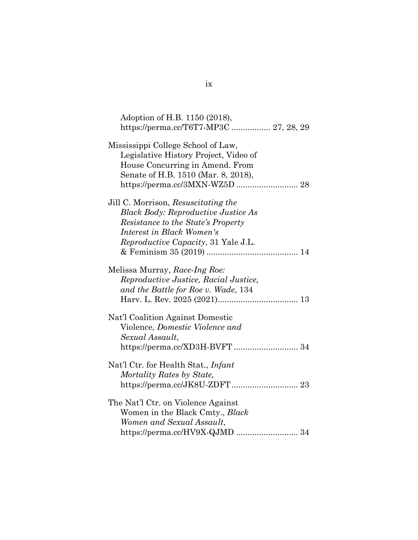| Adoption of H.B. 1150 (2018),                                                                                                                                                                       |                                        |
|-----------------------------------------------------------------------------------------------------------------------------------------------------------------------------------------------------|----------------------------------------|
|                                                                                                                                                                                                     | https://perma.cc/T6T7-MP3C  27, 28, 29 |
| Mississippi College School of Law,<br>Legislative History Project, Video of<br>House Concurring in Amend. From<br>Senate of H.B. 1510 (Mar. 8, 2018),                                               |                                        |
| Jill C. Morrison, Resuscitating the<br><b>Black Body: Reproductive Justice As</b><br>Resistance to the State's Property<br>Interest in Black Women's<br><i>Reproductive Capacity</i> , 31 Yale J.L. |                                        |
| Melissa Murray, Race-Ing Roe:<br>Reproductive Justice, Racial Justice,<br>and the Battle for Roe v. Wade, 134                                                                                       |                                        |
| Nat'l Coalition Against Domestic<br>Violence, Domestic Violence and<br>Sexual Assault,                                                                                                              |                                        |
| Nat'l Ctr. for Health Stat., <i>Infant</i><br>Mortality Rates by State,                                                                                                                             |                                        |
| The Nat'l Ctr. on Violence Against<br>Women in the Black Cmty., Black<br>Women and Sexual Assault,                                                                                                  | https://perma.cc/HV9X-QJMD  34         |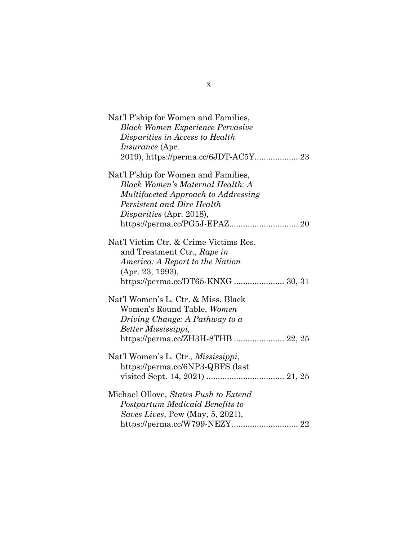| Nat'l P'ship for Women and Families,    |
|-----------------------------------------|
| <b>Black Women Experience Pervasive</b> |
| Disparities in Access to Health         |
| <i>Insurance</i> (Apr.                  |
| 2019), https://perma.cc/6JDT-AC5Y 23    |
| Nat'l P'ship for Women and Families,    |
| <b>Black Women's Maternal Health: A</b> |
| Multifaceted Approach to Addressing     |
| Persistent and Dire Health              |
| Disparities (Apr. 2018),                |
|                                         |
| Nat'l Victim Ctr. & Crime Victims Res.  |
| and Treatment Ctr., Rape in             |
| America: A Report to the Nation         |
| (Apr. 23, 1993),                        |
| https://perma.cc/DT65-KNXG  30, 31      |
| Nat'l Women's L. Ctr. & Miss. Black     |
| Women's Round Table, Women              |
| Driving Change: A Pathway to a          |
| Better Mississippi,                     |
| https://perma.cc/ZH3H-8THB  22, 25      |
| Nat'l Women's L. Ctr., Mississippi,     |
| https://perma.cc/6NP3-QBFS (last        |
|                                         |
| Michael Ollove, States Push to Extend   |
| Postpartum Medicaid Benefits to         |
| Saves Lives, Pew (May, 5, 2021),        |
|                                         |

x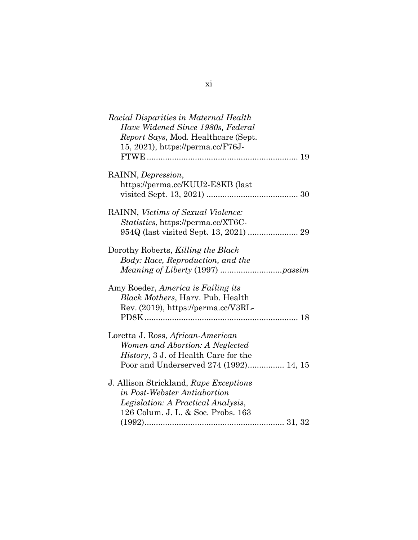| Racial Disparities in Maternal Health<br>Have Widened Since 1980s, Federal<br><i>Report Says, Mod. Healthcare (Sept.</i><br>15, 2021), https://perma.cc/F76J-  |
|----------------------------------------------------------------------------------------------------------------------------------------------------------------|
| RAINN, Depression,<br>https://perma.cc/KUU2-E8KB (last                                                                                                         |
| RAINN, Victims of Sexual Violence:<br><i>Statistics</i> , https://perma.cc/XT6C-                                                                               |
| Dorothy Roberts, Killing the Black<br>Body: Race, Reproduction, and the<br><i>Meaning of Liberty</i> (1997) <i>passim</i>                                      |
| Amy Roeder, America is Failing its<br><b>Black Mothers, Harv. Pub. Health</b><br>Rev. (2019), https://perma.cc/V3RL-                                           |
| Loretta J. Ross, African-American<br>Women and Abortion: A Neglected<br><i>History</i> , 3 J. of Health Care for the<br>Poor and Underserved 274 (1992) 14, 15 |
| J. Allison Strickland, Rape Exceptions<br>in Post-Webster Antiabortion<br>Legislation: A Practical Analysis,<br>126 Colum. J. L. & Soc. Probs. 163             |
|                                                                                                                                                                |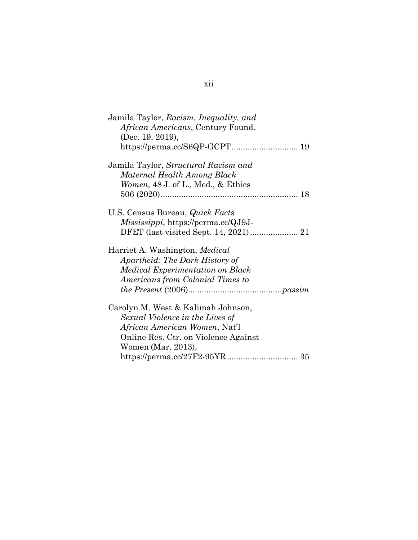| Jamila Taylor, Racism, Inequality, and<br>African Americans, Century Found.<br>(Dec. 19, 2019),                              |
|------------------------------------------------------------------------------------------------------------------------------|
|                                                                                                                              |
| Jamila Taylor, Structural Racism and<br>Maternal Health Among Black<br><i>Women</i> , $48 \text{ J}$ . of L., Med., & Ethics |
|                                                                                                                              |
| U.S. Census Bureau, <i>Quick Facts</i><br><i>Mississippi</i> , https://perma.cc/QJ9J-                                        |
| Harriet A. Washington, <i>Medical</i>                                                                                        |
| Apartheid: The Dark History of                                                                                               |
| Medical Experimentation on Black                                                                                             |
| Americans from Colonial Times to                                                                                             |
|                                                                                                                              |
| Carolyn M. West & Kalimah Johnson,                                                                                           |
| Sexual Violence in the Lives of                                                                                              |
| <i>African American Women, Nat'l</i>                                                                                         |
| Online Res. Ctr. on Violence Against                                                                                         |
| Women (Mar. 2013),                                                                                                           |
|                                                                                                                              |

## xii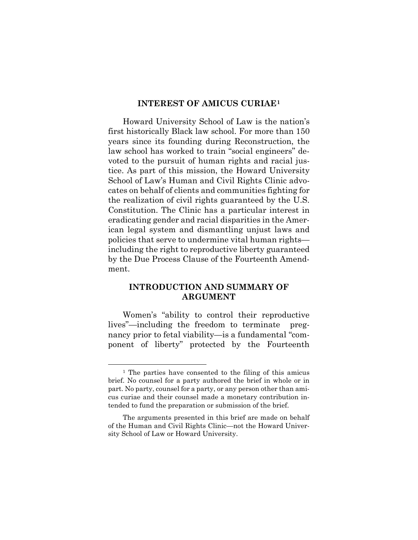#### **INTEREST OF AMICUS CURIAE[1](#page-13-2)**

<span id="page-13-0"></span>Howard University School of Law is the nation's first historically Black law school. For more than 150 years since its founding during Reconstruction, the law school has worked to train "social engineers" devoted to the pursuit of human rights and racial justice. As part of this mission, the Howard University School of Law's Human and Civil Rights Clinic advocates on behalf of clients and communities fighting for the realization of civil rights guaranteed by the U.S. Constitution. The Clinic has a particular interest in eradicating gender and racial disparities in the American legal system and dismantling unjust laws and policies that serve to undermine vital human rights including the right to reproductive liberty guaranteed by the Due Process Clause of the Fourteenth Amendment.

## <span id="page-13-1"></span>**INTRODUCTION AND SUMMARY OF ARGUMENT**

Women's "ability to control their reproductive lives"—including the freedom to terminate pregnancy prior to fetal viability—is a fundamental "component of liberty" protected by the Fourteenth

<span id="page-13-2"></span><sup>1</sup> The parties have consented to the filing of this amicus brief. No counsel for a party authored the brief in whole or in part. No party, counsel for a party, or any person other than amicus curiae and their counsel made a monetary contribution intended to fund the preparation or submission of the brief.

The arguments presented in this brief are made on behalf of the Human and Civil Rights Clinic—not the Howard University School of Law or Howard University.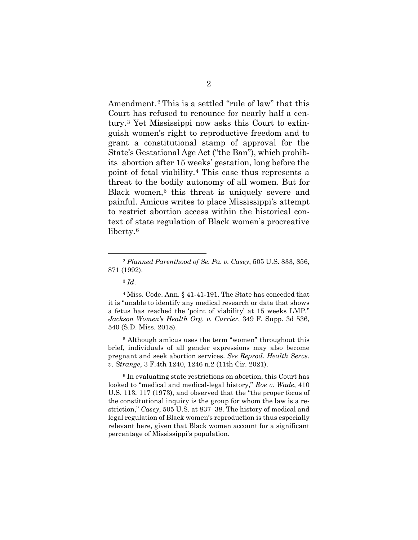Amendment.[2](#page-14-0) This is a settled "rule of law" that this Court has refused to renounce for nearly half a century.[3](#page-14-1) Yet Mississippi now asks this Court to extinguish women's right to reproductive freedom and to grant a constitutional stamp of approval for the State's Gestational Age Act ("the Ban"), which prohibits abortion after 15 weeks' gestation, long before the point of fetal viability.[4](#page-14-2) This case thus represents a threat to the bodily autonomy of all women. But for Black women,<sup>[5](#page-14-3)</sup> this threat is uniquely severe and painful. Amicus writes to place Mississippi's attempt to restrict abortion access within the historical context of state regulation of Black women's procreative liberty.[6](#page-15-0)

<span id="page-14-2"></span><sup>5</sup> Although amicus uses the term "women" throughout this brief, individuals of all gender expressions may also become pregnant and seek abortion services. *See Reprod. Health Servs. v. Strange*, 3 F.4th 1240, 1246 n.2 (11th Cir. 2021).

<span id="page-14-3"></span><sup>6</sup> In evaluating state restrictions on abortion, this Court has looked to "medical and medical-legal history," *Roe v. Wade*, 410 U.S. 113, 117 (1973), and observed that the "the proper focus of the constitutional inquiry is the group for whom the law is a restriction," *Casey*, 505 U.S. at 837–38. The history of medical and legal regulation of Black women's reproduction is thus especially relevant here, given that Black women account for a significant percentage of Mississippi's population.

<span id="page-14-0"></span><sup>2</sup> *Planned Parenthood of Se. Pa. v. Casey*, 505 U.S. 833, 856, 871 (1992).

<sup>3</sup> *Id*.

<span id="page-14-1"></span><sup>4</sup> Miss. Code. Ann. § 41-41-191. The State has conceded that it is "unable to identify any medical research or data that shows a fetus has reached the 'point of viability' at 15 weeks LMP." *Jackson Women's Health Org. v. Currier*, 349 F. Supp. 3d 536, 540 (S.D. Miss. 2018).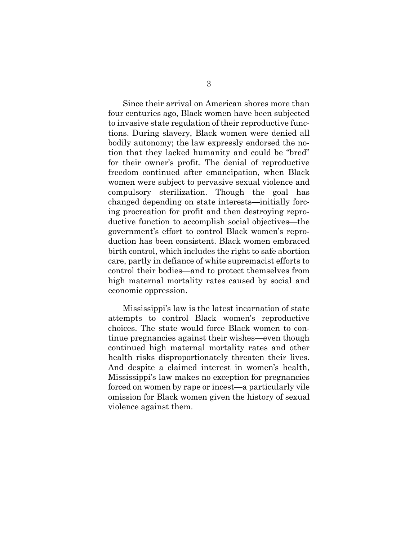Since their arrival on American shores more than four centuries ago, Black women have been subjected to invasive state regulation of their reproductive functions. During slavery, Black women were denied all bodily autonomy; the law expressly endorsed the notion that they lacked humanity and could be "bred" for their owner's profit. The denial of reproductive freedom continued after emancipation, when Black women were subject to pervasive sexual violence and compulsory sterilization. Though the goal has changed depending on state interests—initially forcing procreation for profit and then destroying reproductive function to accomplish social objectives—the government's effort to control Black women's reproduction has been consistent. Black women embraced birth control, which includes the right to safe abortion care, partly in defiance of white supremacist efforts to control their bodies—and to protect themselves from high maternal mortality rates caused by social and economic oppression.

<span id="page-15-0"></span>Mississippi's law is the latest incarnation of state attempts to control Black women's reproductive choices. The state would force Black women to continue pregnancies against their wishes—even though continued high maternal mortality rates and other health risks disproportionately threaten their lives. And despite a claimed interest in women's health, Mississippi's law makes no exception for pregnancies forced on women by rape or incest—a particularly vile omission for Black women given the history of sexual violence against them.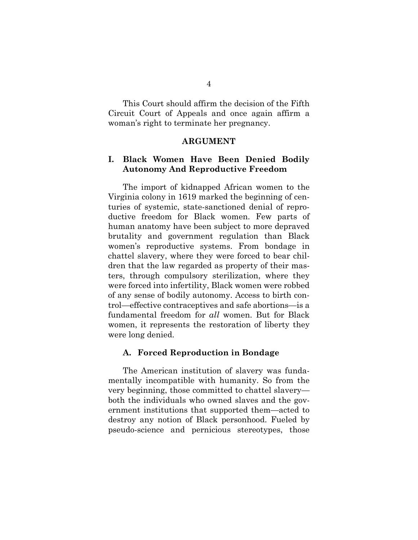This Court should affirm the decision of the Fifth Circuit Court of Appeals and once again affirm a woman's right to terminate her pregnancy.

#### **ARGUMENT**

### <span id="page-16-1"></span><span id="page-16-0"></span>**I. Black Women Have Been Denied Bodily Autonomy And Reproductive Freedom**

The import of kidnapped African women to the Virginia colony in 1619 marked the beginning of centuries of systemic, state-sanctioned denial of reproductive freedom for Black women. Few parts of human anatomy have been subject to more depraved brutality and government regulation than Black women's reproductive systems. From bondage in chattel slavery, where they were forced to bear children that the law regarded as property of their masters, through compulsory sterilization, where they were forced into infertility, Black women were robbed of any sense of bodily autonomy. Access to birth control—effective contraceptives and safe abortions—is a fundamental freedom for *all* women. But for Black women, it represents the restoration of liberty they were long denied.

#### <span id="page-16-2"></span>**A. Forced Reproduction in Bondage**

The American institution of slavery was fundamentally incompatible with humanity. So from the very beginning, those committed to chattel slavery both the individuals who owned slaves and the government institutions that supported them—acted to destroy any notion of Black personhood. Fueled by pseudo-science and pernicious stereotypes, those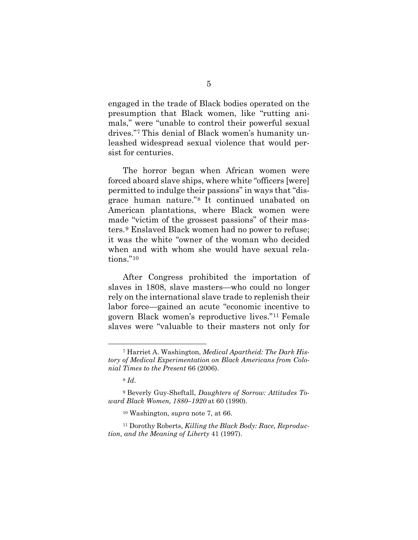engaged in the trade of Black bodies operated on the presumption that Black women, like "rutting animals," were "unable to control their powerful sexual drives."[7](#page-17-0) This denial of Black women's humanity unleashed widespread sexual violence that would persist for centuries.

The horror began when African women were forced aboard slave ships, where white "officers [were] permitted to indulge their passions" in ways that "disgrace human nature."[8](#page-17-1) It continued unabated on American plantations, where Black women were made "victim of the grossest passions" of their masters.[9](#page-18-0) Enslaved Black women had no power to refuse; it was the white "owner of the woman who decided when and with whom she would have sexual rela-tions."<sup>[10](#page-18-1)</sup>

After Congress prohibited the importation of slaves in 1808, slave masters—who could no longer rely on the international slave trade to replenish their labor force—gained an acute "economic incentive to govern Black women's reproductive lives."[11](#page-18-2) Female slaves were "valuable to their masters not only for

<span id="page-17-0"></span><sup>7</sup> Harriet A. Washington, *Medical Apartheid: The Dark History of Medical Experimentation on Black Americans from Colonial Times to the Present* 66 (2006).

<sup>8</sup> *Id*.

<sup>9</sup> Beverly Guy-Sheftall, *Daughters of Sorrow: Attitudes Toward Black Women, 1880–1920* at 60 (1990).

<sup>10</sup> Washington, *supra* note 7, at 66.

<span id="page-17-1"></span><sup>11</sup> Dorothy Roberts, *Killing the Black Body: Race, Reproduction, and the Meaning of Liberty* 41 (1997).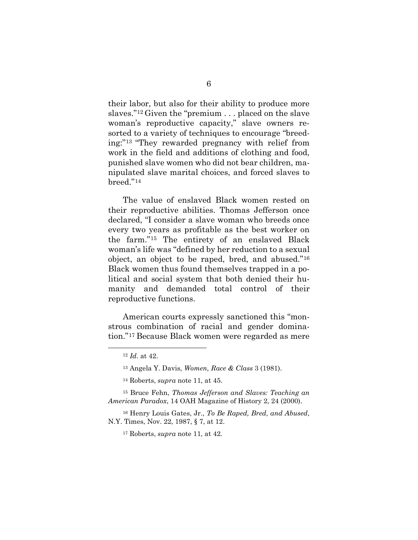their labor, but also for their ability to produce more slaves."[12](#page-18-3) Given the "premium . . . placed on the slave woman's reproductive capacity," slave owners resorted to a variety of techniques to encourage "breeding:["13](#page-19-0) "They rewarded pregnancy with relief from work in the field and additions of clothing and food, punished slave women who did not bear children, manipulated slave marital choices, and forced slaves to breed."[14](#page-19-1)

The value of enslaved Black women rested on their reproductive abilities. Thomas Jefferson once declared, "I consider a slave woman who breeds once every two years as profitable as the best worker on the farm."[15](#page-19-2) The entirety of an enslaved Black woman's life was "defined by her reduction to a sexual object, an object to be raped, bred, and abused."[16](#page-19-3) Black women thus found themselves trapped in a political and social system that both denied their humanity and demanded total control of their reproductive functions.

<span id="page-18-1"></span><span id="page-18-0"></span>American courts expressly sanctioned this "monstrous combination of racial and gender domination."[17](#page-20-1) Because Black women were regarded as mere

<sup>12</sup> *Id*. at 42.

<sup>13</sup> Angela Y. Davis, *Women, Race & Class* 3 (1981).

<sup>14</sup> Roberts, *supra* note 11, at 45.

<span id="page-18-2"></span><sup>15</sup> Bruce Fehn, *Thomas Jefferson and Slaves: Teaching an American Paradox*, 14 OAH Magazine of History 2, 24 (2000).

<span id="page-18-3"></span><sup>16</sup> Henry Louis Gates, Jr., *To Be Raped, Bred, and Abused*, N.Y. Times, Nov. 22, 1987, § 7, at 12.

<sup>17</sup> Roberts, *supra* note 11, at 42.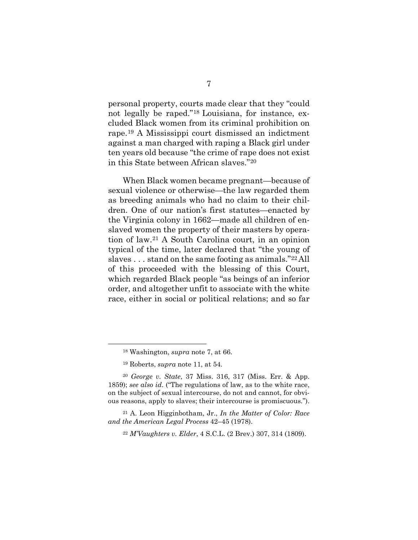personal property, courts made clear that they "could not legally be raped."[18](#page-20-2) Louisiana, for instance, excluded Black women from its criminal prohibition on rape.[19](#page-20-3) A Mississippi court dismissed an indictment against a man charged with raping a Black girl under ten years old because "the crime of rape does not exist in this State between African slaves."[20](#page-20-4)

When Black women became pregnant—because of sexual violence or otherwise—the law regarded them as breeding animals who had no claim to their children. One of our nation's first statutes—enacted by the Virginia colony in 1662—made all children of enslaved women the property of their masters by operation of law.[21](#page-21-0) A South Carolina court, in an opinion typical of the time, later declared that "the young of slaves . . . stand on the same footing as animals."[22](#page-21-1) All of this proceeded with the blessing of this Court, which regarded Black people "as beings of an inferior order, and altogether unfit to associate with the white race, either in social or political relations; and so far

<span id="page-19-0"></span><sup>18</sup> Washington, *supra* note 7, at 66.

<sup>19</sup> Roberts, *supra* note 11, at 54.

<span id="page-19-2"></span><span id="page-19-1"></span><sup>20</sup> *George v. State*, 37 Miss. 316, 317 (Miss. Err. & App. 1859); *see also id*. ("The regulations of law, as to the white race, on the subject of sexual intercourse, do not and cannot, for obvious reasons, apply to slaves; their intercourse is promiscuous.").

<span id="page-19-3"></span><sup>21</sup> A. Leon Higginbotham, Jr., *In the Matter of Color: Race and the American Legal Process* 42–45 (1978).

<sup>22</sup> *M'Vaughters v. Elder*, 4 S.C.L. (2 Brev.) 307, 314 (1809).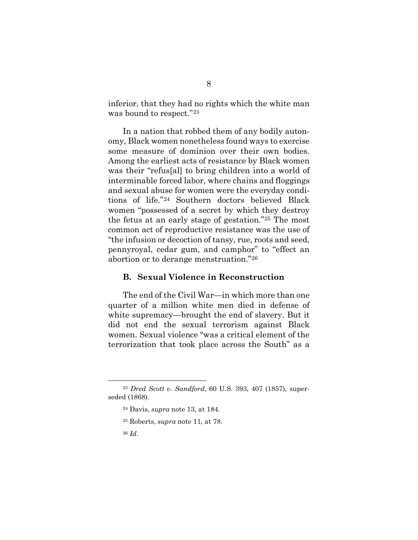inferior, that they had no rights which the white man was bound to respect."[23](#page-21-2)

In a nation that robbed them of any bodily autonomy, Black women nonetheless found ways to exercise some measure of dominion over their own bodies. Among the earliest acts of resistance by Black women was their "refus[al] to bring children into a world of interminable forced labor, where chains and floggings and sexual abuse for women were the everyday conditions of life."[24](#page-22-1) Southern doctors believed Black women "possessed of a secret by which they destroy the fetus at an early stage of gestation."[25](#page-22-2) The most common act of reproductive resistance was the use of "the infusion or decoction of tansy, rue, roots and seed, pennyroyal, cedar gum, and camphor" to "effect an abortion or to derange menstruation."[26](#page-22-3)

#### <span id="page-20-0"></span>**B. Sexual Violence in Reconstruction**

<span id="page-20-2"></span><span id="page-20-1"></span>The end of the Civil War—in which more than one quarter of a million white men died in defense of white supremacy—brought the end of slavery. But it did not end the sexual terrorism against Black women. Sexual violence "was a critical element of the terrorization that took place across the South" as a

<span id="page-20-4"></span><span id="page-20-3"></span><sup>23</sup> *Dred Scott v. Sandford*, 60 U.S. 393, 407 (1857), superseded (1868).

<sup>24</sup> Davis, *supra* note 13, at 184.

<sup>25</sup> Roberts, *supra* note 11, at 78.

<sup>26</sup> *Id*.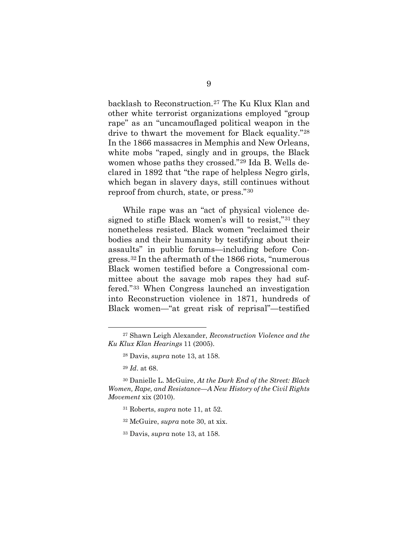backlash to Reconstruction.[27](#page-22-4) The Ku Klux Klan and other white terrorist organizations employed "group rape" as an "uncamouflaged political weapon in the drive to thwart the movement for Black equality."[28](#page-22-5) In the 1866 massacres in Memphis and New Orleans, white mobs "raped, singly and in groups, the Black women whose paths they crossed."[29](#page-23-0) Ida B. Wells declared in 1892 that "the rape of helpless Negro girls, which began in slavery days, still continues without reproof from church, state, or press."[30](#page-23-1)

While rape was an "act of physical violence designed to stifle Black women's will to resist,"[31](#page-23-2) they nonetheless resisted. Black women "reclaimed their bodies and their humanity by testifying about their assaults" in public forums—including before Congress.[32](#page-23-3) In the aftermath of the 1866 riots, "numerous Black women testified before a Congressional committee about the savage mob rapes they had suffered."[33](#page-23-4) When Congress launched an investigation into Reconstruction violence in 1871, hundreds of Black women—"at great risk of reprisal"—testified

<span id="page-21-0"></span><sup>27</sup> Shawn Leigh Alexander, *Reconstruction Violence and the Ku Klux Klan Hearings* 11 (2005).

<sup>28</sup> Davis, *supra* note 13, at 158.

<sup>29</sup> *Id*. at 68.

<span id="page-21-2"></span><span id="page-21-1"></span><sup>30</sup> Danielle L. McGuire, *At the Dark End of the Street: Black Women, Rape, and Resistance—A New History of the Civil Rights Movement* xix (2010).

<sup>31</sup> Roberts, *supra* note 11, at 52.

<sup>32</sup> McGuire, *supra* note 30, at xix.

<sup>33</sup> Davis, *supra* note 13, at 158.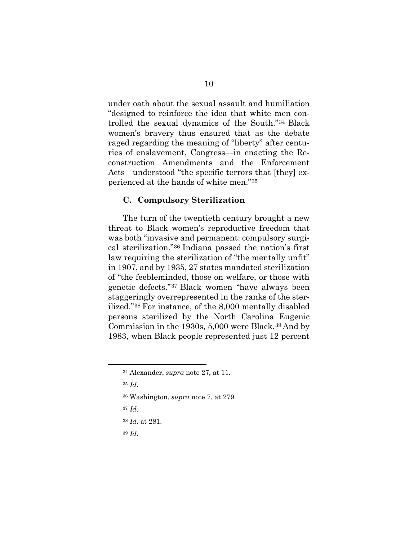under oath about the sexual assault and humiliation "designed to reinforce the idea that white men controlled the sexual dynamics of the South."[34](#page-24-0) Black women's bravery thus ensured that as the debate raged regarding the meaning of "liberty" after centuries of enslavement, Congress—in enacting the Reconstruction Amendments and the Enforcement Acts—understood "the specific terrors that [they] experienced at the hands of white men."[35](#page-24-1)

#### <span id="page-22-0"></span>**C. Compulsory Sterilization**

The turn of the twentieth century brought a new threat to Black women's reproductive freedom that was both "invasive and permanent: compulsory surgical sterilization."[36](#page-24-2) Indiana passed the nation's first law requiring the sterilization of "the mentally unfit" in 1907, and by 1935, 27 states mandated sterilization of "the feebleminded, those on welfare, or those with genetic defects."[37](#page-24-3) Black women "have always been staggeringly overrepresented in the ranks of the sterilized."[38](#page-25-1) For instance, of the 8,000 mentally disabled persons sterilized by the North Carolina Eugenic Commission in the 1930s, 5,000 were Black.[39](#page-25-2) And by 1983, when Black people represented just 12 percent

- <sup>36</sup> Washington, *supra* note 7, at 279.
- <sup>37</sup> *Id*.
- <sup>38</sup> *Id*. at 281.
- <span id="page-22-5"></span><sup>39</sup> *Id*.

<span id="page-22-3"></span><span id="page-22-2"></span><span id="page-22-1"></span><sup>34</sup> Alexander, *supra* note 27, at 11.

<span id="page-22-4"></span><sup>35</sup> *Id*.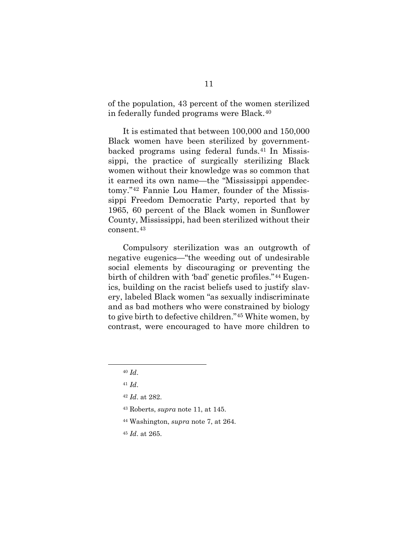of the population, 43 percent of the women sterilized in federally funded programs were Black.[40](#page-25-3)

It is estimated that between 100,000 and 150,000 Black women have been sterilized by governmentbacked programs using federal funds.[41](#page-25-4) In Mississippi, the practice of surgically sterilizing Black women without their knowledge was so common that it earned its own name—the "Mississippi appendectomy."[42](#page-25-5) Fannie Lou Hamer, founder of the Mississippi Freedom Democratic Party, reported that by 1965, 60 percent of the Black women in Sunflower County, Mississippi, had been sterilized without their consent.[43](#page-26-0)

<span id="page-23-1"></span><span id="page-23-0"></span>Compulsory sterilization was an outgrowth of negative eugenics—"the weeding out of undesirable social elements by discouraging or preventing the birth of children with 'bad' genetic profiles."[44](#page-26-1) Eugenics, building on the racist beliefs used to justify slavery, labeled Black women "as sexually indiscriminate and as bad mothers who were constrained by biology to give birth to defective children."[45](#page-26-2) White women, by contrast, were encouraged to have more children to

- <sup>43</sup> Roberts, *supra* note 11, at 145.
- <span id="page-23-4"></span><sup>44</sup> Washington, *supra* note 7, at 264.
- <sup>45</sup> *Id*. at 265.

<span id="page-23-2"></span><sup>40</sup> *Id*.

<span id="page-23-3"></span><sup>41</sup> *Id*.

<sup>42</sup> *Id*. at 282.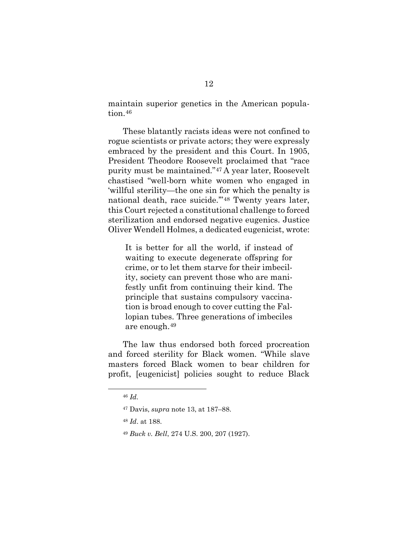maintain superior genetics in the American popula-tion.<sup>[46](#page-26-3)</sup>

These blatantly racists ideas were not confined to rogue scientists or private actors; they were expressly embraced by the president and this Court. In 1905, President Theodore Roosevelt proclaimed that "race purity must be maintained."[47](#page-27-0) A year later, Roosevelt chastised "well-born white women who engaged in 'willful sterility—the one sin for which the penalty is national death, race suicide.'"[48](#page-27-1) Twenty years later, this Court rejected a constitutional challenge to forced sterilization and endorsed negative eugenics. Justice Oliver Wendell Holmes, a dedicated eugenicist, wrote:

It is better for all the world, if instead of waiting to execute degenerate offspring for crime, or to let them starve for their imbecility, society can prevent those who are manifestly unfit from continuing their kind. The principle that sustains compulsory vaccination is broad enough to cover cutting the Fallopian tubes. Three generations of imbeciles are enough.[49](#page-27-2)

<span id="page-24-2"></span><span id="page-24-1"></span><span id="page-24-0"></span>The law thus endorsed both forced procreation and forced sterility for Black women. "While slave masters forced Black women to bear children for profit, [eugenicist] policies sought to reduce Black

<sup>46</sup> *Id.* 

<sup>47</sup> Davis, *supra* note 13, at 187–88.

<span id="page-24-3"></span><sup>48</sup> *Id*. at 188.

<sup>49</sup> *Buck v. Bell*, 274 U.S. 200, 207 (1927).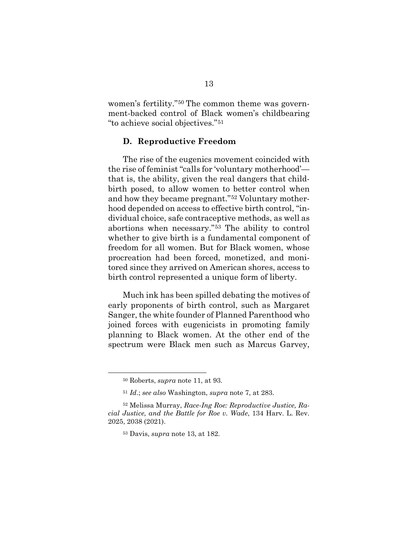women's fertility."[50](#page-27-3) The common theme was government-backed control of Black women's childbearing "to achieve social objectives."[51](#page-28-1)

#### <span id="page-25-0"></span>**D. Reproductive Freedom**

The rise of the eugenics movement coincided with the rise of feminist "calls for 'voluntary motherhood' that is, the ability, given the real dangers that childbirth posed, to allow women to better control when and how they became pregnant."[52](#page-28-2) Voluntary motherhood depended on access to effective birth control, "individual choice, safe contraceptive methods, as well as abortions when necessary."[53](#page-28-3) The ability to control whether to give birth is a fundamental component of freedom for all women. But for Black women, whose procreation had been forced, monetized, and monitored since they arrived on American shores, access to birth control represented a unique form of liberty.

<span id="page-25-2"></span><span id="page-25-1"></span>Much ink has been spilled debating the motives of early proponents of birth control, such as Margaret Sanger, the white founder of Planned Parenthood who joined forces with eugenicists in promoting family planning to Black women. At the other end of the spectrum were Black men such as Marcus Garvey,

<sup>50</sup> Roberts, *supra* note 11, at 93.

<sup>51</sup> *Id*.; *see also* Washington, *supra* note 7, at 283.

<span id="page-25-5"></span><span id="page-25-4"></span><span id="page-25-3"></span><sup>52</sup> Melissa Murray, *Race-Ing Roe: Reproductive Justice, Racial Justice, and the Battle for Roe v. Wade*, 134 Harv. L. Rev. 2025, 2038 (2021).

<sup>53</sup> Davis, *supra* note 13, at 182.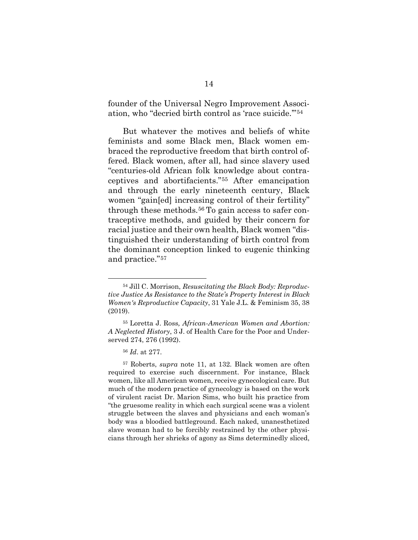founder of the Universal Negro Improvement Association, who "decried birth control as 'race suicide.'"[54](#page-29-0)

But whatever the motives and beliefs of white feminists and some Black men, Black women embraced the reproductive freedom that birth control offered. Black women, after all, had since slavery used "centuries-old African folk knowledge about contraceptives and abortifacients."[55](#page-29-1) After emancipation and through the early nineteenth century, Black women "gain[ed] increasing control of their fertility" through these methods.<sup>[56](#page-30-1)</sup> To gain access to safer contraceptive methods, and guided by their concern for racial justice and their own health, Black women "distinguished their understanding of birth control from the dominant conception linked to eugenic thinking and practice."[57](#page-30-2)

<sup>54</sup> Jill C. Morrison, *Resuscitating the Black Body: Reproductive Justice As Resistance to the State's Property Interest in Black Women's Reproductive Capacity*, 31 Yale J.L. & Feminism 35, 38 (2019).

<span id="page-26-1"></span><span id="page-26-0"></span><sup>55</sup> Loretta J. Ross*, African-American Women and Abortion: A Neglected History*, 3 J. of Health Care for the Poor and Underserved 274, 276 (1992).

<sup>56</sup> *Id*. at 277.

<span id="page-26-3"></span><span id="page-26-2"></span><sup>57</sup> Roberts, *supra* note 11, at 132. Black women are often required to exercise such discernment. For instance, Black women, like all American women, receive gynecological care. But much of the modern practice of gynecology is based on the work of virulent racist Dr. Marion Sims, who built his practice from "the gruesome reality in which each surgical scene was a violent struggle between the slaves and physicians and each woman's body was a bloodied battleground. Each naked, unanesthetized slave woman had to be forcibly restrained by the other physicians through her shrieks of agony as Sims determinedly sliced,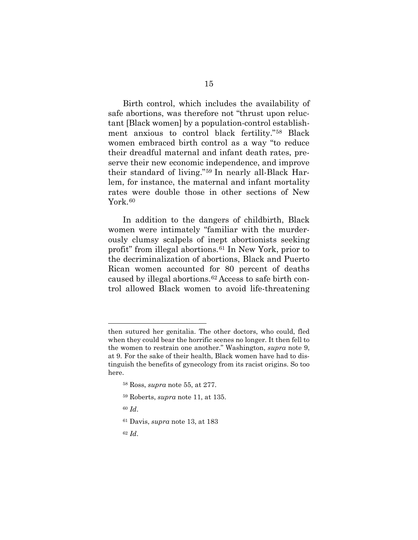Birth control, which includes the availability of safe abortions, was therefore not "thrust upon reluctant [Black women] by a population-control establishment anxious to control black fertility."[58](#page-30-3) Black women embraced birth control as a way "to reduce their dreadful maternal and infant death rates, preserve their new economic independence, and improve their standard of living."[59](#page-31-0) In nearly all-Black Harlem, for instance, the maternal and infant mortality rates were double those in other sections of New York.<sup>[60](#page-31-1)</sup>

In addition to the dangers of childbirth, Black women were intimately "familiar with the murderously clumsy scalpels of inept abortionists seeking profit" from illegal abortions.[61](#page-31-2) In New York, prior to the decriminalization of abortions, Black and Puerto Rican women accounted for 80 percent of deaths caused by illegal abortions.[62](#page-31-3) Access to safe birth control allowed Black women to avoid life-threatening

- <sup>59</sup> Roberts, *supra* note 11, at 135.
- <sup>60</sup> *Id*.
- <span id="page-27-3"></span><sup>61</sup> Davis, *supra* note 13, at 183
- <sup>62</sup> *Id*.

<span id="page-27-2"></span><span id="page-27-1"></span><span id="page-27-0"></span>then sutured her genitalia. The other doctors, who could, fled when they could bear the horrific scenes no longer. It then fell to the women to restrain one another." Washington, *supra* note 9, at 9. For the sake of their health, Black women have had to distinguish the benefits of gynecology from its racist origins. So too here.

<sup>58</sup> Ross, *supra* note 55, at 277.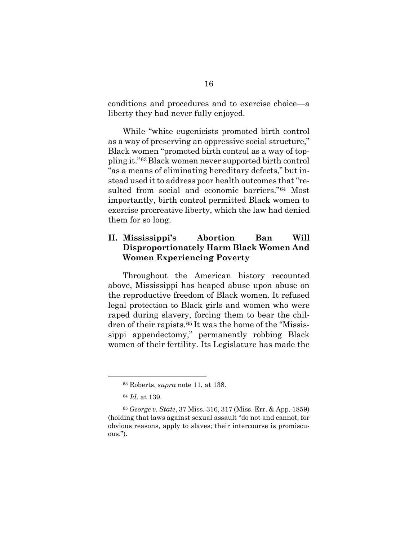conditions and procedures and to exercise choice—a liberty they had never fully enjoyed.

While "white eugenicists promoted birth control as a way of preserving an oppressive social structure," Black women "promoted birth control as a way of toppling it."[63](#page-32-0) Black women never supported birth control "as a means of eliminating hereditary defects," but instead used it to address poor health outcomes that "resulted from social and economic barriers."[64](#page-32-1) Most importantly, birth control permitted Black women to exercise procreative liberty, which the law had denied them for so long.

### <span id="page-28-0"></span>**II. Mississippi's Abortion Ban Will Disproportionately Harm Black Women And Women Experiencing Poverty**

<span id="page-28-1"></span>Throughout the American history recounted above, Mississippi has heaped abuse upon abuse on the reproductive freedom of Black women. It refused legal protection to Black girls and women who were raped during slavery, forcing them to bear the children of their rapists.[65](#page-32-2) It was the home of the "Mississippi appendectomy," permanently robbing Black women of their fertility. Its Legislature has made the

<sup>63</sup> Roberts, *supra* note 11, at 138.

<sup>64</sup> *Id*. at 139.

<span id="page-28-3"></span><span id="page-28-2"></span><sup>65</sup> *George v. State*, 37 Miss. 316, 317 (Miss. Err. & App. 1859) (holding that laws against sexual assault "do not and cannot, for obvious reasons, apply to slaves; their intercourse is promiscuous.").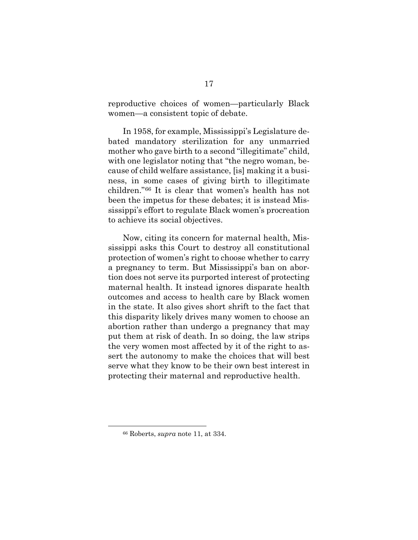reproductive choices of women—particularly Black women—a consistent topic of debate.

In 1958, for example, Mississippi's Legislature debated mandatory sterilization for any unmarried mother who gave birth to a second "illegitimate" child, with one legislator noting that "the negro woman, because of child welfare assistance, [is] making it a business, in some cases of giving birth to illegitimate children."[66](#page-33-1) It is clear that women's health has not been the impetus for these debates; it is instead Mississippi's effort to regulate Black women's procreation to achieve its social objectives.

<span id="page-29-0"></span>Now, citing its concern for maternal health, Mississippi asks this Court to destroy all constitutional protection of women's right to choose whether to carry a pregnancy to term. But Mississippi's ban on abortion does not serve its purported interest of protecting maternal health. It instead ignores disparate health outcomes and access to health care by Black women in the state. It also gives short shrift to the fact that this disparity likely drives many women to choose an abortion rather than undergo a pregnancy that may put them at risk of death. In so doing, the law strips the very women most affected by it of the right to assert the autonomy to make the choices that will best serve what they know to be their own best interest in protecting their maternal and reproductive health.

<span id="page-29-1"></span><sup>66</sup> Roberts, *supra* note 11, at 334.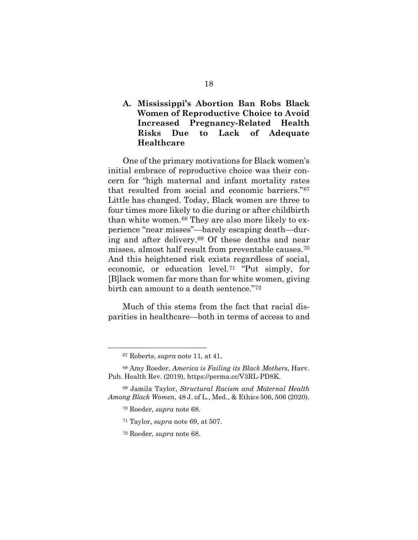### <span id="page-30-0"></span>**A. Mississippi's Abortion Ban Robs Black Women of Reproductive Choice to Avoid Increased Pregnancy-Related Health Risks Due to Lack of Adequate Healthcare**

<span id="page-30-1"></span>One of the primary motivations for Black women's initial embrace of reproductive choice was their concern for "high maternal and infant mortality rates that resulted from social and economic barriers."[67](#page-34-0) Little has changed. Today, Black women are three to four times more likely to die during or after childbirth than white women.[68](#page-34-1) They are also more likely to experience "near misses"—barely escaping death—during and after delivery.[69](#page-34-2) Of these deaths and near misses, almost half result from preventable causes.[70](#page-34-3) And this heightened risk exists regardless of social, economic, or education level.[71](#page-35-0) "Put simply, for [B]lack women far more than for white women, giving birth can amount to a death sentence."[72](#page-35-1)

<span id="page-30-2"></span>Much of this stems from the fact that racial disparities in healthcare—both in terms of access to and

<sup>67</sup> Roberts, *supra* note 11, at 41.

<sup>68</sup> Amy Roeder, *America is Failing its Black Mothers*, Harv. Pub. Health Rev. (2019), https://perma.cc/V3RL-PD8K.

<span id="page-30-3"></span><sup>69</sup> Jamila Taylor, *Structural Racism and Maternal Health Among Black Women*, 48 J. of L., Med., & Ethics 506, 506 (2020).

<sup>70</sup> Roeder, *supra* note 68.

<sup>71</sup> Taylor, *supra* note 69, at 507.

<sup>72</sup> Roeder, *supra* note 68.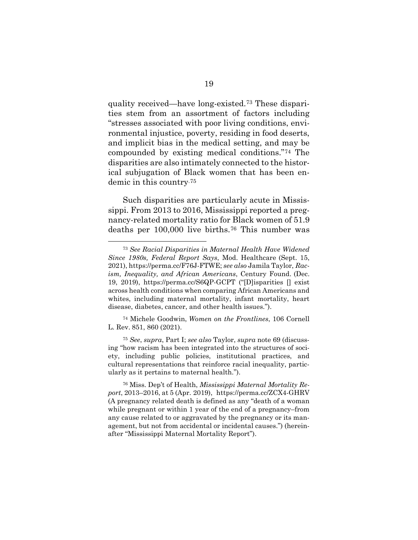quality received—have long-existed.[73](#page-35-2) These disparities stem from an assortment of factors including "stresses associated with poor living conditions, environmental injustice, poverty, residing in food deserts, and implicit bias in the medical setting, and may be compounded by existing medical conditions."[74](#page-36-0) The disparities are also intimately connected to the historical subjugation of Black women that has been endemic in this country.[75](#page-36-1)

Such disparities are particularly acute in Mississippi. From 2013 to 2016, Mississippi reported a pregnancy-related mortality ratio for Black women of 51.9 deaths per 100,000 live births.[76](#page-36-2) This number was

<sup>74</sup> Michele Goodwin, *Women on the Frontlines*, 106 Cornell L. Rev. 851, 860 (2021).

<span id="page-31-0"></span><sup>75</sup> *See*, *supra*, Part I; *see also* Taylor, *supra* note 69 (discussing "how racism has been integrated into the structures of society, including public policies, institutional practices, and cultural representations that reinforce racial inequality, particularly as it pertains to maternal health.").

<span id="page-31-3"></span><span id="page-31-2"></span><span id="page-31-1"></span><sup>76</sup> Miss. Dep't of Health, *Mississippi Maternal Mortality Report*, 2013–2016, at 5 (Apr. 2019), https://perma.cc/ZCX4-GHRV (A pregnancy related death is defined as any "death of a woman while pregnant or within 1 year of the end of a pregnancy–from any cause related to or aggravated by the pregnancy or its management, but not from accidental or incidental causes.") (hereinafter "Mississippi Maternal Mortality Report").

<sup>73</sup> *See Racial Disparities in Maternal Health Have Widened Since 1980s, Federal Report Says*, Mod. Healthcare (Sept. 15, 2021), https://perma.cc/F76J-FTWE; *see also* Jamila Taylor, *Racism, Inequality, and African Americans*, Century Found. (Dec. 19, 2019), https://perma.cc/S6QP-GCPT ("[D]isparities [] exist across health conditions when comparing African Americans and whites, including maternal mortality, infant mortality, heart disease, diabetes, cancer, and other health issues.").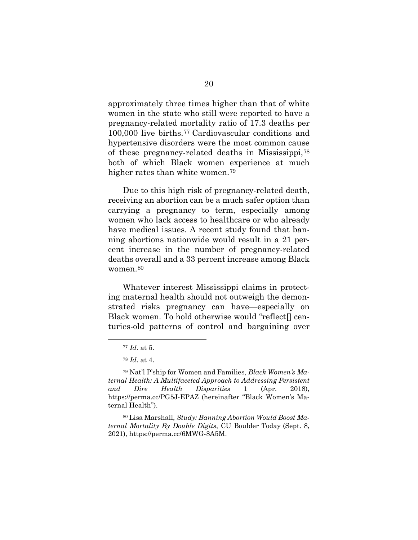approximately three times higher than that of white women in the state who still were reported to have a pregnancy-related mortality ratio of 17.3 deaths per 100,000 live births.[77](#page-37-0) Cardiovascular conditions and hypertensive disorders were the most common cause of these pregnancy-related deaths in Mississippi,[78](#page-37-1) both of which Black women experience at much higher rates than white women.<sup>[79](#page-37-2)</sup>

Due to this high risk of pregnancy-related death, receiving an abortion can be a much safer option than carrying a pregnancy to term, especially among women who lack access to healthcare or who already have medical issues. A recent study found that banning abortions nationwide would result in a 21 percent increase in the number of pregnancy-related deaths overall and a 33 percent increase among Black women.<sup>[80](#page-37-3)</sup>

Whatever interest Mississippi claims in protecting maternal health should not outweigh the demonstrated risks pregnancy can have—especially on Black women. To hold otherwise would "reflect[] centuries-old patterns of control and bargaining over

<sup>77</sup> *Id.* at 5.

<sup>78</sup> *Id.* at 4.

<span id="page-32-1"></span><span id="page-32-0"></span><sup>79</sup> Nat'l P'ship for Women and Families, *Black Women's Maternal Health: A Multifaceted Approach to Addressing Persistent and Dire Health Disparities* 1 (Apr. 2018), https://perma.cc/PG5J-EPAZ (hereinafter "Black Women's Maternal Health").

<span id="page-32-2"></span><sup>80</sup> Lisa Marshall, *Study: Banning Abortion Would Boost Maternal Mortality By Double Digits*, CU Boulder Today (Sept. 8, 2021), https://perma.cc/6MWG-8A5M.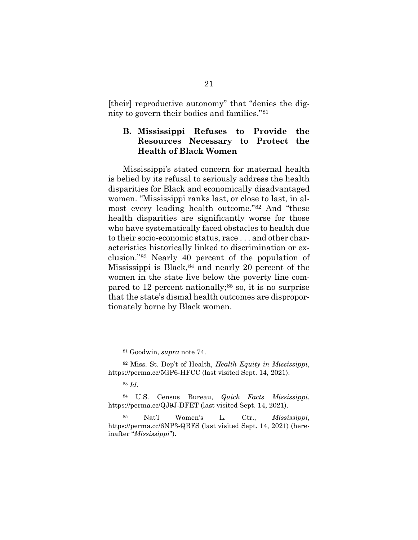[their] reproductive autonomy" that "denies the dignity to govern their bodies and families."[81](#page-38-1)

## <span id="page-33-0"></span>**B. Mississippi Refuses to Provide the Resources Necessary to Protect the Health of Black Women**

Mississippi's stated concern for maternal health is belied by its refusal to seriously address the health disparities for Black and economically disadvantaged women. "Mississippi ranks last, or close to last, in almost every leading health outcome."[82](#page-38-2) And "these health disparities are significantly worse for those who have systematically faced obstacles to health due to their socio-economic status, race . . . and other characteristics historically linked to discrimination or exclusion."[83](#page-39-0) Nearly 40 percent of the population of Mississippi is Black,  $84$  and nearly 20 percent of the women in the state live below the poverty line compared to 12 percent nationally; $85$  so, it is no surprise that the state's dismal health outcomes are disproportionately borne by Black women.

<sup>81</sup> Goodwin, *supra* note 74.

<sup>82</sup> Miss. St. Dep't of Health, *Health Equity in Mississippi*, https://perma.cc/5GP6-HFCC (last visited Sept. 14, 2021).

<sup>83</sup> *Id.*

<sup>84</sup> U.S. Census Bureau, *Quick Facts Mississippi*, https://perma.cc/QJ9J-DFET (last visited Sept. 14, 2021).

<span id="page-33-1"></span><sup>85</sup> Nat'l Women's L. Ctr., *Mississippi*, https://perma.cc/6NP3-QBFS (last visited Sept. 14, 2021) (hereinafter "*Mississippi*").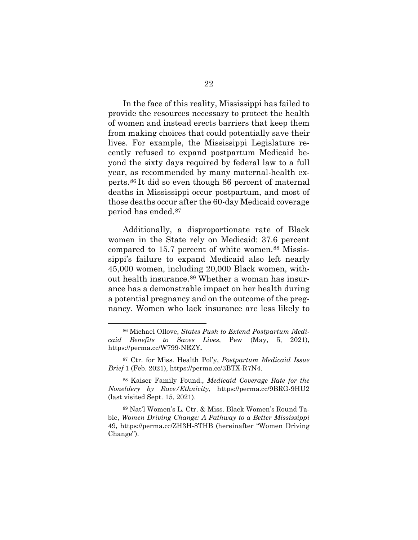In the face of this reality, Mississippi has failed to provide the resources necessary to protect the health of women and instead erects barriers that keep them from making choices that could potentially save their lives. For example, the Mississippi Legislature recently refused to expand postpartum Medicaid beyond the sixty days required by federal law to a full year, as recommended by many maternal-health experts.[86](#page-40-0) It did so even though 86 percent of maternal deaths in Mississippi occur postpartum, and most of those deaths occur after the 60-day Medicaid coverage period has ended.[87](#page-40-1)

<span id="page-34-0"></span>Additionally, a disproportionate rate of Black women in the State rely on Medicaid: 37.6 percent compared to 15.7 percent of white women.<sup>88</sup> Mississippi's failure to expand Medicaid also left nearly 45,000 women, including 20,000 Black women, without health insurance.[89](#page-40-3) Whether a woman has insurance has a demonstrable impact on her health during a potential pregnancy and on the outcome of the pregnancy. Women who lack insurance are less likely to

<span id="page-34-1"></span><sup>86</sup> Michael Ollove, *States Push to Extend Postpartum Medicaid Benefits to Saves Lives*, Pew (May, 5, 2021), https://perma.cc/W799-NEZY**.** 

<span id="page-34-2"></span><sup>87</sup> Ctr. for Miss. Health Pol'y, *Postpartum Medicaid Issue Brief* 1 (Feb. 2021), https://perma.cc/3BTX-R7N4.

<sup>88</sup> Kaiser Family Found., *Medicaid Coverage Rate for the Noneldery by Race/Ethnicity*, https://perma.cc/9BRG-9HU2 (last visited Sept. 15, 2021).

<span id="page-34-3"></span><sup>89</sup> Nat'l Women's L. Ctr. & Miss. Black Women's Round Table, *Women Driving Change: A Pathway to a Better Mississippi* 49, https://perma.cc/ZH3H-8THB (hereinafter "Women Driving Change").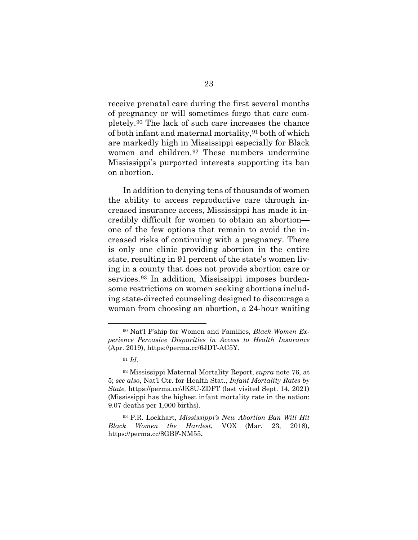receive prenatal care during the first several months of pregnancy or will sometimes forgo that care completely.[90](#page-41-0) The lack of such care increases the chance of both infant and maternal mortality,[91](#page-41-1) both of which are markedly high in Mississippi especially for Black women and children.[92](#page-41-2) These numbers undermine Mississippi's purported interests supporting its ban on abortion.

<span id="page-35-0"></span>In addition to denying tens of thousands of women the ability to access reproductive care through increased insurance access, Mississippi has made it incredibly difficult for women to obtain an abortion one of the few options that remain to avoid the increased risks of continuing with a pregnancy. There is only one clinic providing abortion in the entire state, resulting in 91 percent of the state's women living in a county that does not provide abortion care or services.<sup>[93](#page-42-0)</sup> In addition, Mississippi imposes burdensome restrictions on women seeking abortions including state-directed counseling designed to discourage a woman from choosing an abortion, a 24-hour waiting

<span id="page-35-2"></span><span id="page-35-1"></span><sup>90</sup> Nat'l P'ship for Women and Families, *Black Women Experience Pervasive Disparities in Access to Health Insurance* (Apr. 2019), https://perma.cc/6JDT-AC5Y.

<sup>91</sup> *Id.*

<sup>92</sup> Mississippi Maternal Mortality Report, *supra* note 76, at 5; *see also*, Nat'l Ctr. for Health Stat., *Infant Mortality Rates by State,* https://perma.cc/JK8U-ZDFT (last visited Sept. 14, 2021) (Mississippi has the highest infant mortality rate in the nation: 9.07 deaths per 1,000 births).

<sup>93</sup> P.R. Lockhart, *Mississippi's New Abortion Ban Will Hit Black Women the Hardest*, VOX (Mar. 23, 2018), https://perma.cc/8GBF-NM55**.**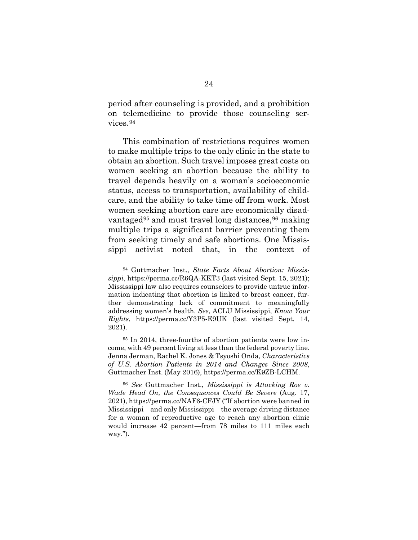period after counseling is provided, and a prohibition on telemedicine to provide those counseling services.[94](#page-42-1)

This combination of restrictions requires women to make multiple trips to the only clinic in the state to obtain an abortion. Such travel imposes great costs on women seeking an abortion because the ability to travel depends heavily on a woman's socioeconomic status, access to transportation, availability of childcare, and the ability to take time off from work. Most women seeking abortion care are economically disad-vantaged<sup>[95](#page-43-0)</sup> and must travel long distances,  $96$  making multiple trips a significant barrier preventing them from seeking timely and safe abortions. One Mississippi activist noted that, in the context of

<span id="page-36-1"></span><span id="page-36-0"></span><sup>94</sup> Guttmacher Inst., *State Facts About Abortion: Mississippi*, https://perma.cc/R6QA-KKT3 (last visited Sept. 15, 2021); Mississippi law also requires counselors to provide untrue information indicating that abortion is linked to breast cancer, further demonstrating lack of commitment to meaningfully addressing women's health. *See*, ACLU Mississippi, *Know Your Rights*, https://perma.cc/Y3P5-E9UK (last visited Sept. 14, 2021).

<span id="page-36-2"></span><sup>95</sup> In 2014, three-fourths of abortion patients were low income, with 49 percent living at less than the federal poverty line. Jenna Jerman, Rachel K. Jones & Tsyoshi Onda, *Characteristics of U.S. Abortion Patients in 2014 and Changes Since 2008*, Guttmacher Inst. (May 2016), https://perma.cc/K9ZB-LCHM.

<sup>96</sup> *See* Guttmacher Inst., *Mississippi is Attacking Roe v. Wade Head On, the Consequences Could Be Severe* (Aug. 17, 2021), https://perma.cc/NAF6-CFJY ("If abortion were banned in Mississippi—and only Mississippi—the average driving distance for a woman of reproductive age to reach any abortion clinic would increase 42 percent—from 78 miles to 111 miles each way.").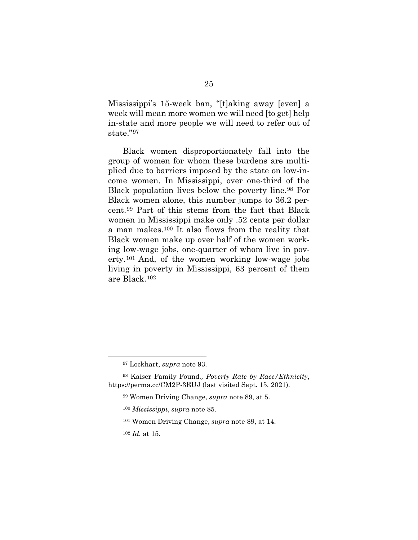Mississippi's 15-week ban, "[t]aking away [even] a week will mean more women we will need [to get] help in-state and more people we will need to refer out of state."[97](#page-44-0)

Black women disproportionately fall into the group of women for whom these burdens are multiplied due to barriers imposed by the state on low-income women. In Mississippi, over one-third of the Black population lives below the poverty line.[98](#page-44-1) For Black women alone, this number jumps to 36.2 percent.[99](#page-44-2) Part of this stems from the fact that Black women in Mississippi make only .52 cents per dollar a man makes.[100](#page-44-3) It also flows from the reality that Black women make up over half of the women working low-wage jobs, one-quarter of whom live in poverty.[101](#page-45-0) And, of the women working low-wage jobs living in poverty in Mississippi, 63 percent of them are Black.[102](#page-45-1)

<sup>97</sup> Lockhart, *supra* note 93.

<span id="page-37-3"></span><span id="page-37-2"></span><span id="page-37-1"></span><span id="page-37-0"></span><sup>98</sup> Kaiser Family Found*., Poverty Rate by Race/Ethnicity*, https://perma.cc/CM2P-3EUJ (last visited Sept. 15, 2021).

<sup>99</sup> Women Driving Change, *supra* note 89, at 5.

<sup>100</sup> *Mississippi*, *supra* note 85.

<sup>101</sup> Women Driving Change, *supra* note 89, at 14.

<sup>102</sup> *Id.* at 15.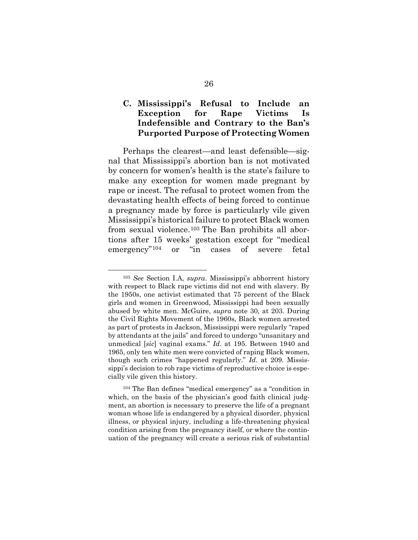### <span id="page-38-0"></span>**C. Mississippi's Refusal to Include an Exception for Rape Victims Is Indefensible and Contrary to the Ban's Purported Purpose of Protecting Women**

Perhaps the clearest—and least defensible—signal that Mississippi's abortion ban is not motivated by concern for women's health is the state's failure to make any exception for women made pregnant by rape or incest. The refusal to protect women from the devastating health effects of being forced to continue a pregnancy made by force is particularly vile given Mississippi's historical failure to protect Black women from sexual violence.[103](#page-45-2) The Ban prohibits all abortions after 15 weeks' gestation except for "medical emergency"[104](#page-46-0) or "in cases of severe fetal

<sup>103</sup> *See* Section I.A, *supra*. Mississippi's abhorrent history with respect to Black rape victims did not end with slavery. By the 1950s, one activist estimated that 75 percent of the Black girls and women in Greenwood, Mississippi had been sexually abused by white men. McGuire, *supra* note 30, at 203. During the Civil Rights Movement of the 1960s, Black women arrested as part of protests in Jackson, Mississippi were regularly "raped by attendants at the jails" and forced to undergo "unsanitary and unmedical [*sic*] vaginal exams." *Id*. at 195. Between 1940 and 1965, only ten white men were convicted of raping Black women, though such crimes "happened regularly." *Id*. at 209. Mississippi's decision to rob rape victims of reproductive choice is especially vile given this history.

<span id="page-38-2"></span><span id="page-38-1"></span><sup>104</sup> The Ban defines "medical emergency" as a "condition in which, on the basis of the physician's good faith clinical judgment, an abortion is necessary to preserve the life of a pregnant woman whose life is endangered by a physical disorder, physical illness, or physical injury, including a life-threatening physical condition arising from the pregnancy itself, or where the continuation of the pregnancy will create a serious risk of substantial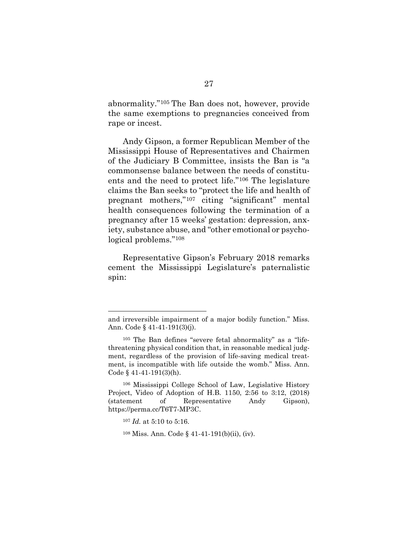abnormality."[105](#page-46-1) The Ban does not, however, provide the same exemptions to pregnancies conceived from rape or incest.

Andy Gipson, a former Republican Member of the Mississippi House of Representatives and Chairmen of the Judiciary B Committee, insists the Ban is "a commonsense balance between the needs of constituents and the need to protect life."[106](#page-46-2) The legislature claims the Ban seeks to "protect the life and health of pregnant mothers,"[107](#page-47-0) citing "significant" mental health consequences following the termination of a pregnancy after 15 weeks' gestation: depression, anxiety, substance abuse, and "other emotional or psychological problems."[108](#page-47-1)

Representative Gipson's February 2018 remarks cement the Mississippi Legislature's paternalistic spin:

<span id="page-39-2"></span><sup>106</sup> Mississippi College School of Law, Legislative History Project, Video of Adoption of H.B. 1150, 2:56 to 3:12, (2018) (statement of Representative Andy Gipson), https://perma.cc/T6T7-MP3C.

<span id="page-39-0"></span>and irreversible impairment of a major bodily function." Miss. Ann. Code § 41-41-191(3)(j).

<span id="page-39-1"></span><sup>105</sup> The Ban defines "severe fetal abnormality" as a "lifethreatening physical condition that, in reasonable medical judgment, regardless of the provision of life-saving medical treatment, is incompatible with life outside the womb." Miss. Ann. Code  $§$  41-41-191(3)(h).

<sup>107</sup> *Id.* at 5:10 to 5:16.

<sup>108</sup> Miss. Ann. Code § 41-41-191(b)(ii), (iv).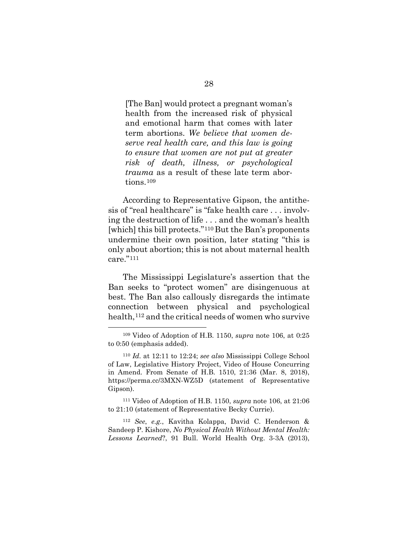[The Ban] would protect a pregnant woman's health from the increased risk of physical and emotional harm that comes with later term abortions. *We believe that women deserve real health care, and this law is going to ensure that women are not put at greater risk of death, illness, or psychological trauma* as a result of these late term abortions.[109](#page-47-2)

<span id="page-40-0"></span>According to Representative Gipson, the antithesis of "real healthcare" is "fake health care . . . involving the destruction of life . . . and the woman's health [which] this bill protects."<sup>[110](#page-48-1)</sup> But the Ban's proponents undermine their own position, later stating "this is only about abortion; this is not about maternal health care."[111](#page-48-2)

<span id="page-40-1"></span>The Mississippi Legislature's assertion that the Ban seeks to "protect women" are disingenuous at best. The Ban also callously disregards the intimate connection between physical and psychological health,<sup>[112](#page-48-3)</sup> and the critical needs of women who survive

<sup>111</sup> Video of Adoption of H.B. 1150, *supra* note 106, at 21:06 to 21:10 (statement of Representative Becky Currie).

<span id="page-40-3"></span><sup>112</sup> *See*, *e.g.*, Kavitha Kolappa, David C. Henderson & Sandeep P. Kishore, *No Physical Health Without Mental Health: Lessons Learned*?, 91 Bull. World Health Org. 3-3A (2013),

<span id="page-40-2"></span><sup>109</sup> Video of Adoption of H.B. 1150, *supra* note 106, at 0:25 to 0:50 (emphasis added).

<sup>110</sup> *Id.* at 12:11 to 12:24; *see also* Mississippi College School of Law, Legislative History Project, Video of House Concurring in Amend. From Senate of H.B. 1510, 21:36 (Mar. 8, 2018), https://perma.cc/3MXN-WZ5D (statement of Representative Gipson).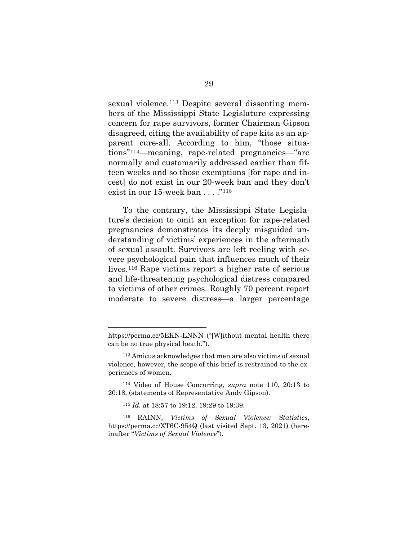sexual violence.[113](#page-48-4) Despite several dissenting members of the Mississippi State Legislature expressing concern for rape survivors, former Chairman Gipson disagreed, citing the availability of rape kits as an apparent cure-all. According to him, "those situations"[114](#page-48-5)—meaning, rape-related pregnancies—"are normally and customarily addressed earlier than fifteen weeks and so those exemptions [for rape and incest] do not exist in our 20-week ban and they don't exist in our  $15$ -week ban  $\ldots$ ."<sup>[115](#page-48-6)</sup>

<span id="page-41-0"></span>To the contrary, the Mississippi State Legislature's decision to omit an exception for rape-related pregnancies demonstrates its deeply misguided understanding of victims' experiences in the aftermath of sexual assault. Survivors are left reeling with severe psychological pain that influences much of their lives.[116](#page-48-1) Rape victims report a higher rate of serious and life-threatening psychological distress compared to victims of other crimes. Roughly 70 percent report moderate to severe distress—a larger percentage

<span id="page-41-1"></span>https://perma.cc/5EKN-LNNN ("[W]ithout mental health there can be no true physical heath.").

<span id="page-41-2"></span><sup>113</sup> Amicus acknowledges that men are also victims of sexual violence, however, the scope of this brief is restrained to the experiences of women.

<sup>114</sup> Video of House Concurring, *supra* note 110, 20:13 to 20:18, (statements of Representative Andy Gipson).

<sup>115</sup> *Id.* at 18:57 to 19:12, 19:29 to 19:39.

<sup>116</sup> RAINN, *Victims of Sexual Violence: Statistics*, https://perma.cc/XT6C-954Q (last visited Sept. 13, 2021) (hereinafter "*Victims of Sexual Violence*").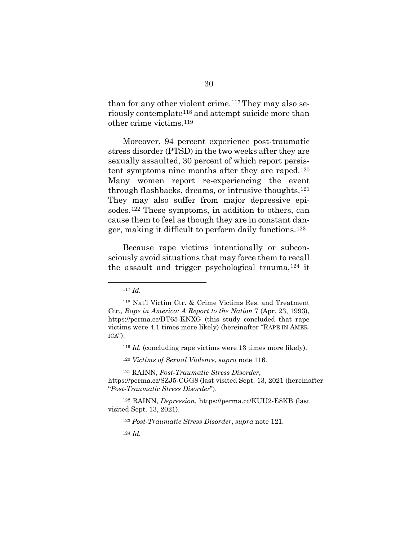than for any other violent crime.[117](#page-48-7) They may also seriously contemplate[118](#page-48-8) and attempt suicide more than other crime victims.[119](#page-48-6)

Moreover, 94 percent experience post-traumatic stress disorder (PTSD) in the two weeks after they are sexually assaulted, 30 percent of which report persistent symptoms nine months after they are raped.[120](#page-48-9) Many women report re-experiencing the event through flashbacks, dreams, or intrusive thoughts.[121](#page-48-10) They may also suffer from major depressive episodes.[122](#page-48-11) These symptoms, in addition to others, can cause them to feel as though they are in constant danger, making it difficult to perform daily functions.[123](#page-48-12)

Because rape victims intentionally or subconsciously avoid situations that may force them to recall the assault and trigger psychological trauma,  $124$  it

<sup>119</sup> *Id.* (concluding rape victims were 13 times more likely).

<sup>120</sup> *Victims of Sexual Violence*, *supra* note 116.

<span id="page-42-1"></span><sup>121</sup> RAINN, *Post-Traumatic Stress Disorder*, https://perma.cc/SZJ5-CGG8 (last visited Sept. 13, 2021 (hereinafter "*Post-Traumatic Stress Disorder*").

<sup>122</sup> RAINN, *Depression*, https://perma.cc/KUU2-E8KB (last visited Sept. 13, 2021).

<sup>123</sup> *Post-Traumatic Stress Disorder*, *supra* note 121.

<sup>124</sup> *Id.*

<sup>117</sup> *Id.* 

<span id="page-42-0"></span><sup>118</sup> Nat'l Victim Ctr. & Crime Victims Res. and Treatment Ctr., *Rape in America: A Report to the Nation* 7 (Apr. 23, 1993), https://perma.cc/DT65-KNXG (this study concluded that rape victims were 4.1 times more likely) (hereinafter "RAPE IN AMER- $ICA$ ").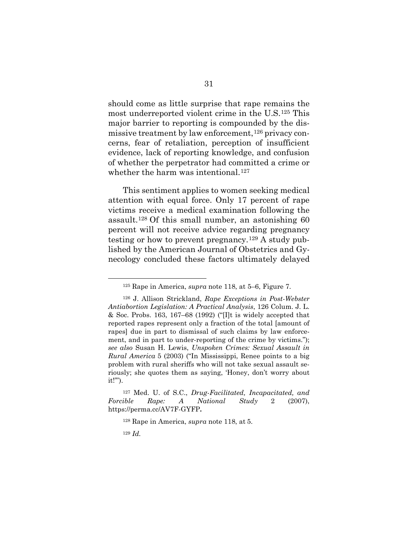should come as little surprise that rape remains the most underreported violent crime in the U.S.[125](#page-48-14) This major barrier to reporting is compounded by the dis-missive treatment by law enforcement,<sup>[126](#page-48-15)</sup> privacy concerns, fear of retaliation, perception of insufficient evidence, lack of reporting knowledge, and confusion of whether the perpetrator had committed a crime or whether the harm was intentional.<sup>127</sup>

This sentiment applies to women seeking medical attention with equal force. Only 17 percent of rape victims receive a medical examination following the assault[.128](#page-48-16) Of this small number, an astonishing 60 percent will not receive advice regarding pregnancy testing or how to prevent pregnancy.[129](#page-48-17) A study published by the American Journal of Obstetrics and Gynecology concluded these factors ultimately delayed

<span id="page-43-1"></span><sup>127</sup> Med. U. of S.C., *Drug-Facilitated, Incapacitated, and Forcible Rape: A National Study* 2 (2007), https://perma.cc/AV7F-GYFP**.**

<sup>125</sup> Rape in America, *supra* note 118, at 5–6, Figure 7.

<span id="page-43-0"></span><sup>126</sup> J. Allison Strickland, *Rape Exceptions in Post-Webster Antiabortion Legislation: A Practical Analysis*, 126 Colum. J. L. & Soc. Probs. 163, 167–68 (1992) ("[I]t is widely accepted that reported rapes represent only a fraction of the total [amount of rapes] due in part to dismissal of such claims by law enforcement, and in part to under-reporting of the crime by victims."); *see also* Susan H. Lewis, *Unspoken Crimes: Sexual Assault in Rural America* 5 (2003) ("In Mississippi, Renee points to a big problem with rural sheriffs who will not take sexual assault seriously; she quotes them as saying, 'Honey, don't worry about it!'").

<sup>128</sup> Rape in America, *supra* note 118, at 5.

<sup>129</sup> *Id.*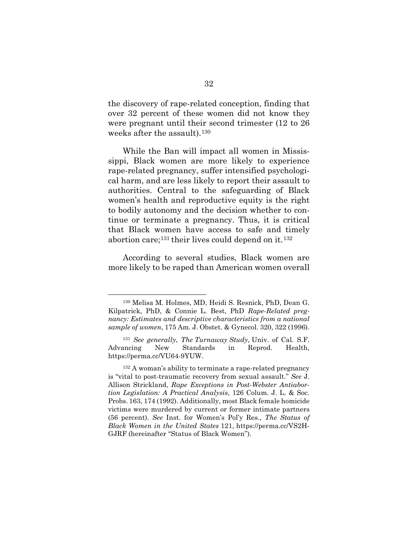the discovery of rape-related conception, finding that over 32 percent of these women did not know they were pregnant until their second trimester (12 to 26 weeks after the assault).[130](#page-48-7)

While the Ban will impact all women in Mississippi, Black women are more likely to experience rape-related pregnancy, suffer intensified psychological harm, and are less likely to report their assault to authorities. Central to the safeguarding of Black women's health and reproductive equity is the right to bodily autonomy and the decision whether to continue or terminate a pregnancy. Thus, it is critical that Black women have access to safe and timely abortion care;<sup>[131](#page-48-18)</sup> their lives could depend on it.<sup>[132](#page-48-19)</sup>

According to several studies, Black women are more likely to be raped than American women overall

<span id="page-44-0"></span><sup>130</sup> Melisa M. Holmes, MD, Heidi S. Resnick, PhD, Dean G. Kilpatrick, PhD, & Connie L. Best, PhD *Rape-Related pregnancy: Estimates and descriptive characteristics from a national sample of women*, 175 Am. J. Obstet. & Gynecol. 320, 322 (1996).

<span id="page-44-1"></span><sup>131</sup> *See generally*, *The Turnaway Study*, Univ. of Cal. S.F. Advancing New Standards in Reprod. Health, https://perma.cc/VU64-9YUW.

<span id="page-44-3"></span><span id="page-44-2"></span><sup>132</sup> A woman's ability to terminate a rape-related pregnancy is "vital to post-traumatic recovery from sexual assault." *See* J. Allison Strickland, *Rape Exceptions in Post-Webster Antiabortion Legislation: A Practical Analysis*, 126 Colum. J. L. & Soc. Probs. 163, 174 (1992). Additionally, most Black female homicide victims were murdered by current or former intimate partners (56 percent). *See* Inst. for Women's Pol'y Res., *The Status of Black Women in the United States* 121, https://perma.cc/VS2H-GJRF (hereinafter "Status of Black Women").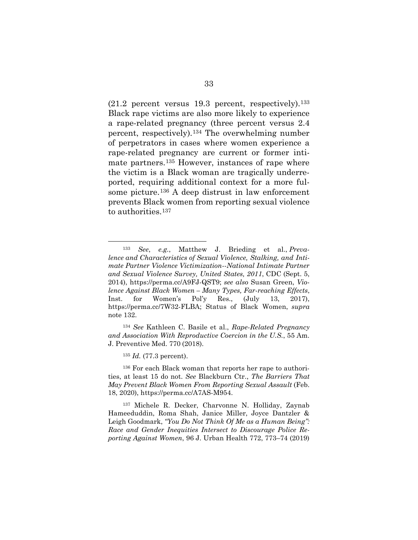$(21.2$  percent versus 19.3 percent, respectively).<sup>[133](#page-48-8)</sup> Black rape victims are also more likely to experience a rape-related pregnancy (three percent versus 2.4 percent, respectively).[134](#page-48-20) The overwhelming number of perpetrators in cases where women experience a rape-related pregnancy are current or former intimate partners.[135](#page-48-21) However, instances of rape where the victim is a Black woman are tragically underreported, requiring additional context for a more fulsome picture.[136](#page-48-22) A deep distrust in law enforcement prevents Black women from reporting sexual violence to authorities.<sup>[137](#page-48-23)</sup>

<sup>135</sup> *Id.* (77.3 percent).

<span id="page-45-2"></span><sup>136</sup> For each Black woman that reports her rape to authorities, at least 15 do not. *See* Blackburn Ctr., *The Barriers That May Prevent Black Women From Reporting Sexual Assault* (Feb. 18, 2020), https://perma.cc/A7AS-M954.

<sup>137</sup> Michele R. Decker, Charvonne N. Holliday, Zaynab Hameeduddin, Roma Shah, Janice Miller, Joyce Dantzler & Leigh Goodmark, *"You Do Not Think Of Me as a Human Being": Race and Gender Inequities Intersect to Discourage Police Reporting Against Women*, 96 J. Urban Health 772, 773–74 (2019)

<sup>133</sup> *See*, *e.g.*, Matthew J. Brieding et al., *Prevalence and Characteristics of Sexual Violence, Stalking, and Intimate Partner Violence Victimization--National Intimate Partner and Sexual Violence Survey, United States, 2011*, CDC (Sept. 5, 2014), https://perma.cc/A9FJ-QST9; *see also* Susan Green, *Violence Against Black Women – Many Types, Far-reaching Effects*, Inst. for Women's Pol'y Res., (July 13, 2017), https://perma.cc/7W32-FLBA; Status of Black Women, *supra* note 132.

<span id="page-45-1"></span><span id="page-45-0"></span><sup>134</sup> *See* Kathleen C. Basile et al., *Rape-Related Pregnancy and Association With Reproductive Coercion in the U.S.*, 55 Am. J. Preventive Med. 770 (2018).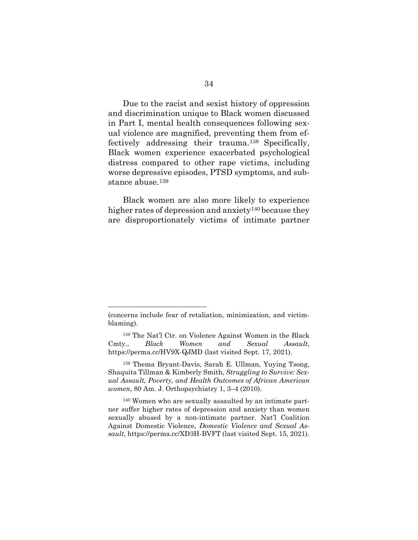Due to the racist and sexist history of oppression and discrimination unique to Black women discussed in Part I, mental health consequences following sexual violence are magnified, preventing them from effectively addressing their trauma.[138](#page-48-12) Specifically, Black women experience exacerbated psychological distress compared to other rape victims, including worse depressive episodes, PTSD symptoms, and sub-stance abuse.<sup>[139](#page-48-24)</sup>

Black women are also more likely to experience higher rates of depression and anxiety<sup>[140](#page-48-25)</sup> because they are disproportionately victims of intimate partner

<span id="page-46-0"></span><sup>(</sup>concerns include fear of retaliation, minimization, and victimblaming).

<sup>138</sup> The Nat'l Ctr. on Violence Against Women in the Black Cmty., *Black Women and Sexual Assault*, https://perma.cc/HV9X-QJMD (last visited Sept. 17, 2021).

<span id="page-46-1"></span><sup>139</sup> Thema Bryant-Davis, Sarah E. Ullman, Yuying Tsong, Shaquita Tillman & Kimberly Smith, *Struggling to Survive: Sexual Assault, Poverty, and Health Outcomes of African American women*, 80 Am. J. Orthopsychiatry 1, 3–4 (2010).

<span id="page-46-2"></span><sup>140</sup> Women who are sexually assaulted by an intimate partner suffer higher rates of depression and anxiety than women sexually abused by a non-intimate partner. Nat'l Coalition Against Domestic Violence, *Domestic Violence and Sexual Assault*, https://perma.cc/XD3H-BVFT (last visited Sept. 15, 2021).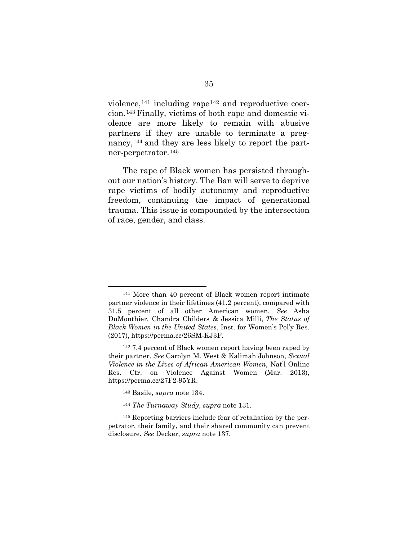violence,  $^{141}$  $^{141}$  $^{141}$  including rape  $^{142}$  $^{142}$  $^{142}$  and reproductive coercion.[143](#page-48-5) Finally, victims of both rape and domestic violence are more likely to remain with abusive partners if they are unable to terminate a pregnancy,[144](#page-48-26) and they are less likely to report the partner-perpetrator.[145](#page-48-27) 

The rape of Black women has persisted throughout our nation's history. The Ban will serve to deprive rape victims of bodily autonomy and reproductive freedom, continuing the impact of generational trauma. This issue is compounded by the intersection of race, gender, and class.

<sup>141</sup> More than 40 percent of Black women report intimate partner violence in their lifetimes (41.2 percent), compared with 31.5 percent of all other American women. *See* Asha DuMonthier, Chandra Childers & Jessica Milli, *The Status of Black Women in the United States*, Inst. for Women's Pol'y Res. (2017), https://perma.cc/26SM-KJ3F.

<span id="page-47-0"></span><sup>142</sup> 7.4 percent of Black women report having been raped by their partner. *See* Carolyn M. West & Kalimah Johnson, *Sexual Violence in the Lives of African American Women*, Nat'l Online Res. Ctr. on Violence Against Women (Mar. 2013), https://perma.cc/27F2-95YR.

<sup>143</sup> Basile, *supra* note 134.

<sup>144</sup> *The Turnaway Study*, *supra* note 131.

<span id="page-47-2"></span><span id="page-47-1"></span><sup>145</sup> Reporting barriers include fear of retaliation by the perpetrator, their family, and their shared community can prevent disclosure. *See* Decker, *supra* note 137.